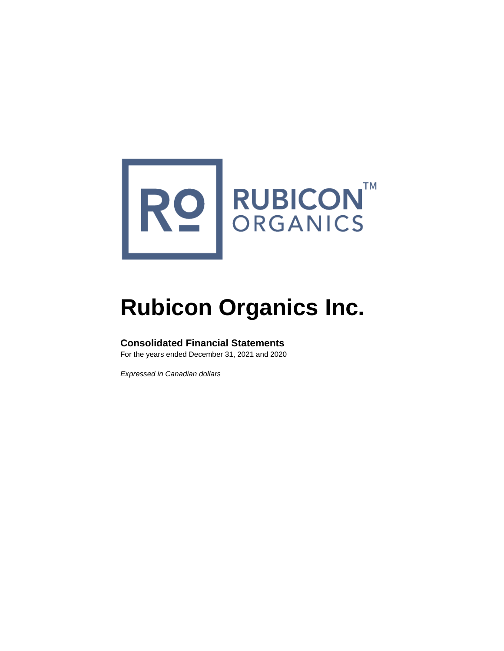

# **Rubicon Organics Inc.**

# **Consolidated Financial Statements**

For the years ended December 31, 2021 and 2020

*Expressed in Canadian dollars*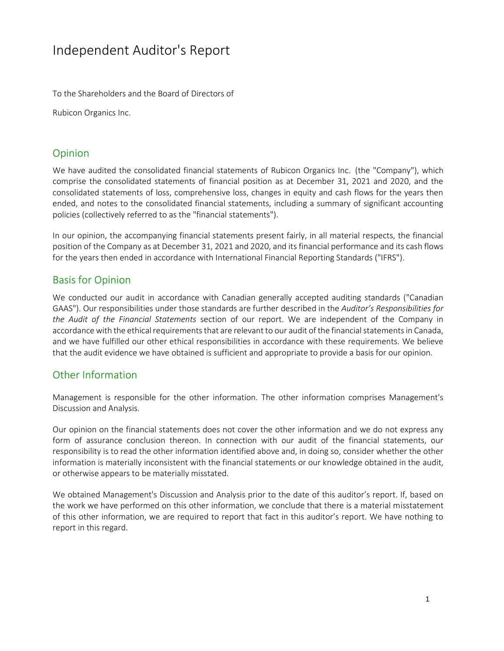# Independent Auditor's Report

To the Shareholders and the Board of Directors of

Rubicon Organics Inc.

# Opinion

We have audited the consolidated financial statements of Rubicon Organics Inc. (the "Company"), which comprise the consolidated statements of financial position as at December 31, 2021 and 2020, and the consolidated statements of loss, comprehensive loss, changes in equity and cash flows for the years then ended, and notes to the consolidated financial statements, including a summary of significant accounting policies (collectively referred to as the "financial statements").

In our opinion, the accompanying financial statements present fairly, in all material respects, the financial position of the Company as at December 31, 2021 and 2020, and its financial performance and its cash flows for the years then ended in accordance with International Financial Reporting Standards ("IFRS").

# Basis for Opinion

We conducted our audit in accordance with Canadian generally accepted auditing standards ("Canadian GAAS"). Our responsibilities under those standards are further described in the *Auditor's Responsibilities for the Audit of the Financial Statements* section of our report. We are independent of the Company in accordance with the ethical requirements that are relevant to our audit of the financial statements in Canada, and we have fulfilled our other ethical responsibilities in accordance with these requirements. We believe that the audit evidence we have obtained is sufficient and appropriate to provide a basis for our opinion.

# Other Information

Management is responsible for the other information. The other information comprises Management's Discussion and Analysis.

Our opinion on the financial statements does not cover the other information and we do not express any form of assurance conclusion thereon. In connection with our audit of the financial statements, our responsibility is to read the other information identified above and, in doing so, consider whether the other information is materially inconsistent with the financial statements or our knowledge obtained in the audit, or otherwise appears to be materially misstated.

We obtained Management's Discussion and Analysis prior to the date of this auditor's report. If, based on the work we have performed on this other information, we conclude that there is a material misstatement of this other information, we are required to report that fact in this auditor's report. We have nothing to report in this regard.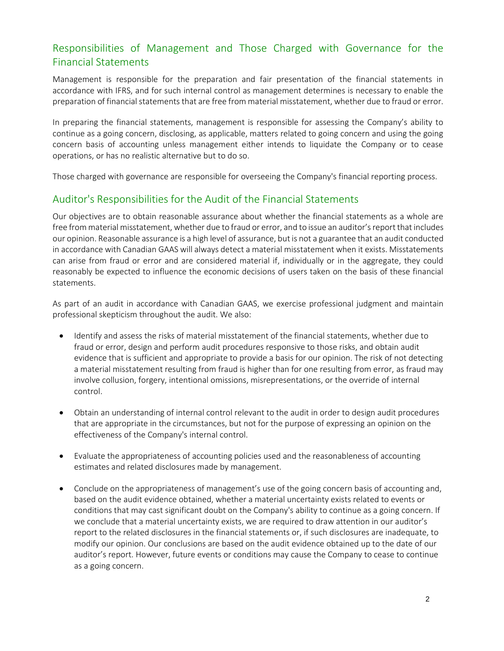# Responsibilities of Management and Those Charged with Governance for the Financial Statements

Management is responsible for the preparation and fair presentation of the financial statements in accordance with IFRS, and for such internal control as management determines is necessary to enable the preparation of financial statements that are free from material misstatement, whether due to fraud or error.

In preparing the financial statements, management is responsible for assessing the Company's ability to continue as a going concern, disclosing, as applicable, matters related to going concern and using the going concern basis of accounting unless management either intends to liquidate the Company or to cease operations, or has no realistic alternative but to do so.

Those charged with governance are responsible for overseeing the Company's financial reporting process.

# Auditor's Responsibilities for the Audit of the Financial Statements

Our objectives are to obtain reasonable assurance about whether the financial statements as a whole are free from material misstatement, whether due to fraud or error, and to issue an auditor's report that includes our opinion. Reasonable assurance is a high level of assurance, but is not a guarantee that an audit conducted in accordance with Canadian GAAS will always detect a material misstatement when it exists. Misstatements can arise from fraud or error and are considered material if, individually or in the aggregate, they could reasonably be expected to influence the economic decisions of users taken on the basis of these financial statements.

As part of an audit in accordance with Canadian GAAS, we exercise professional judgment and maintain professional skepticism throughout the audit. We also:

- Identify and assess the risks of material misstatement of the financial statements, whether due to fraud or error, design and perform audit procedures responsive to those risks, and obtain audit evidence that is sufficient and appropriate to provide a basis for our opinion. The risk of not detecting a material misstatement resulting from fraud is higher than for one resulting from error, as fraud may involve collusion, forgery, intentional omissions, misrepresentations, or the override of internal control.
- Obtain an understanding of internal control relevant to the audit in order to design audit procedures that are appropriate in the circumstances, but not for the purpose of expressing an opinion on the effectiveness of the Company's internal control.
- Evaluate the appropriateness of accounting policies used and the reasonableness of accounting estimates and related disclosures made by management.
- Conclude on the appropriateness of management's use of the going concern basis of accounting and, based on the audit evidence obtained, whether a material uncertainty exists related to events or conditions that may cast significant doubt on the Company's ability to continue as a going concern. If we conclude that a material uncertainty exists, we are required to draw attention in our auditor's report to the related disclosures in the financial statements or, if such disclosures are inadequate, to modify our opinion. Our conclusions are based on the audit evidence obtained up to the date of our auditor's report. However, future events or conditions may cause the Company to cease to continue as a going concern.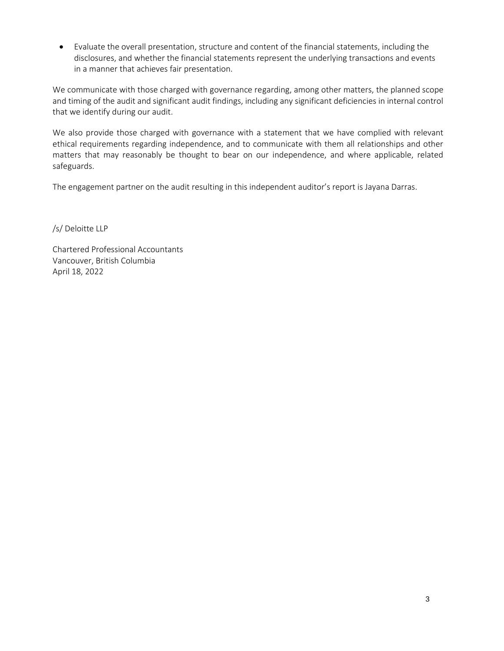• Evaluate the overall presentation, structure and content of the financial statements, including the disclosures, and whether the financial statements represent the underlying transactions and events in a manner that achieves fair presentation.

We communicate with those charged with governance regarding, among other matters, the planned scope and timing of the audit and significant audit findings, including any significant deficiencies in internal control that we identify during our audit.

We also provide those charged with governance with a statement that we have complied with relevant ethical requirements regarding independence, and to communicate with them all relationships and other matters that may reasonably be thought to bear on our independence, and where applicable, related safeguards.

The engagement partner on the audit resulting in this independent auditor's report is Jayana Darras.

/s/ Deloitte LLP

Chartered Professional Accountants Vancouver, British Columbia April 18, 2022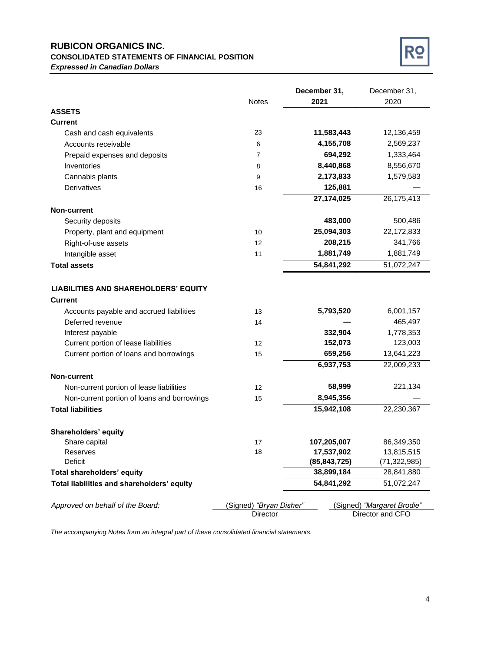#### **RUBICON ORGANICS INC. CONSOLIDATED STATEMENTS OF FINANCIAL POSITION** *Expressed in Canadian Dollars*



|                                             |                         | December 31,   | December 31,               |
|---------------------------------------------|-------------------------|----------------|----------------------------|
|                                             | <b>Notes</b>            | 2021           | 2020                       |
| <b>ASSETS</b>                               |                         |                |                            |
| <b>Current</b>                              |                         |                |                            |
| Cash and cash equivalents                   | 23                      | 11,583,443     | 12,136,459                 |
| Accounts receivable                         | 6                       | 4,155,708      | 2,569,237                  |
| Prepaid expenses and deposits               | 7                       | 694,292        | 1,333,464                  |
| Inventories                                 | 8                       | 8,440,868      | 8,556,670                  |
| Cannabis plants                             | 9                       | 2,173,833      | 1,579,583                  |
| Derivatives                                 | 16                      | 125,881        |                            |
|                                             |                         | 27,174,025     | 26,175,413                 |
| <b>Non-current</b>                          |                         |                |                            |
| Security deposits                           |                         | 483,000        | 500,486                    |
| Property, plant and equipment               | 10                      | 25,094,303     | 22,172,833                 |
| Right-of-use assets                         | 12                      | 208,215        | 341,766                    |
| Intangible asset                            | 11                      | 1,881,749      | 1,881,749                  |
| <b>Total assets</b>                         |                         | 54,841,292     | 51,072,247                 |
|                                             |                         |                |                            |
| <b>LIABILITIES AND SHAREHOLDERS' EQUITY</b> |                         |                |                            |
| <b>Current</b>                              |                         |                |                            |
| Accounts payable and accrued liabilities    | 13                      | 5,793,520      | 6,001,157                  |
| Deferred revenue                            | 14                      |                | 465,497                    |
| Interest payable                            |                         | 332,904        | 1,778,353                  |
| Current portion of lease liabilities        | 12                      | 152,073        | 123,003                    |
| Current portion of loans and borrowings     | 15                      | 659,256        | 13,641,223                 |
|                                             |                         | 6,937,753      | 22,009,233                 |
| <b>Non-current</b>                          |                         |                |                            |
| Non-current portion of lease liabilities    | 12                      | 58,999         | 221,134                    |
| Non-current portion of loans and borrowings | 15                      | 8,945,356      |                            |
| <b>Total liabilities</b>                    |                         | 15,942,108     | 22,230,367                 |
|                                             |                         |                |                            |
| Shareholders' equity                        |                         |                |                            |
| Share capital                               | 17                      | 107,205,007    | 86,349,350                 |
| Reserves                                    | 18                      | 17,537,902     | 13,815,515                 |
| Deficit                                     |                         | (85, 843, 725) | (71, 322, 985)             |
| <b>Total shareholders' equity</b>           |                         | 38,899,184     | 28,841,880                 |
| Total liabilities and shareholders' equity  |                         | 54,841,292     | 51,072,247                 |
|                                             |                         |                |                            |
| Approved on behalf of the Board:            | (Signed) "Bryan Disher" |                | (Signed) "Margaret Brodie" |
|                                             | Director                |                | Director and CFO           |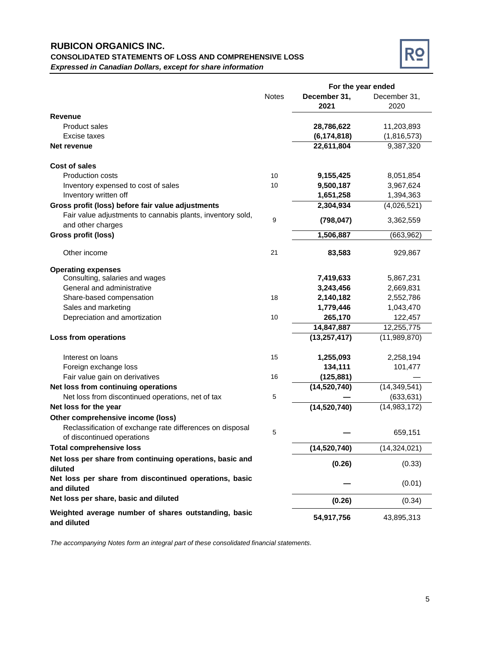### **RUBICON ORGANICS INC. CONSOLIDATED STATEMENTS OF LOSS AND COMPREHENSIVE LOSS** *Expressed in Canadian Dollars, except for share information*



|                                                                                         |              | For the year ended |                |  |
|-----------------------------------------------------------------------------------------|--------------|--------------------|----------------|--|
|                                                                                         | <b>Notes</b> | December 31,       | December 31,   |  |
|                                                                                         |              | 2021               | 2020           |  |
| Revenue                                                                                 |              |                    |                |  |
| <b>Product sales</b>                                                                    |              | 28,786,622         | 11,203,893     |  |
| Excise taxes                                                                            |              | (6, 174, 818)      | (1,816,573)    |  |
| Net revenue                                                                             |              | 22,611,804         | 9,387,320      |  |
| Cost of sales                                                                           |              |                    |                |  |
| <b>Production costs</b>                                                                 | 10           | 9,155,425          | 8,051,854      |  |
| Inventory expensed to cost of sales                                                     | 10           | 9,500,187          | 3,967,624      |  |
| Inventory written off                                                                   |              | 1,651,258          | 1,394,363      |  |
| Gross profit (loss) before fair value adjustments                                       |              | 2,304,934          | (4,026,521)    |  |
| Fair value adjustments to cannabis plants, inventory sold,<br>and other charges         | 9            | (798, 047)         | 3,362,559      |  |
| <b>Gross profit (loss)</b>                                                              |              | 1,506,887          | (663,962)      |  |
| Other income                                                                            | 21           | 83,583             | 929,867        |  |
| <b>Operating expenses</b>                                                               |              |                    |                |  |
| Consulting, salaries and wages                                                          |              | 7,419,633          | 5,867,231      |  |
| General and administrative                                                              |              | 3,243,456          | 2,669,831      |  |
| Share-based compensation                                                                | 18           | 2,140,182          | 2,552,786      |  |
| Sales and marketing                                                                     |              | 1,779,446          | 1,043,470      |  |
| Depreciation and amortization                                                           | 10           | 265,170            | 122,457        |  |
|                                                                                         |              | 14,847,887         | 12,255,775     |  |
| Loss from operations                                                                    |              | (13, 257, 417)     | (11, 989, 870) |  |
| Interest on loans                                                                       | 15           | 1,255,093          | 2,258,194      |  |
| Foreign exchange loss                                                                   |              | 134,111            | 101,477        |  |
| Fair value gain on derivatives                                                          | 16           | (125, 881)         |                |  |
| Net loss from continuing operations                                                     |              | (14, 520, 740)     | (14, 349, 541) |  |
| Net loss from discontinued operations, net of tax                                       | 5            |                    | (633, 631)     |  |
| Net loss for the year                                                                   |              | (14, 520, 740)     | (14,983,172)   |  |
| Other comprehensive income (loss)                                                       |              |                    |                |  |
| Reclassification of exchange rate differences on disposal<br>of discontinued operations | 5            |                    | 659,151        |  |
| <b>Total comprehensive loss</b>                                                         |              | (14,520,740)       | (14, 324, 021) |  |
| Net loss per share from continuing operations, basic and<br>diluted                     |              | (0.26)             | (0.33)         |  |
| Net loss per share from discontinued operations, basic<br>and diluted                   |              |                    | (0.01)         |  |
| Net loss per share, basic and diluted                                                   |              | (0.26)             | (0.34)         |  |
| Weighted average number of shares outstanding, basic<br>and diluted                     |              | 54,917,756         | 43,895,313     |  |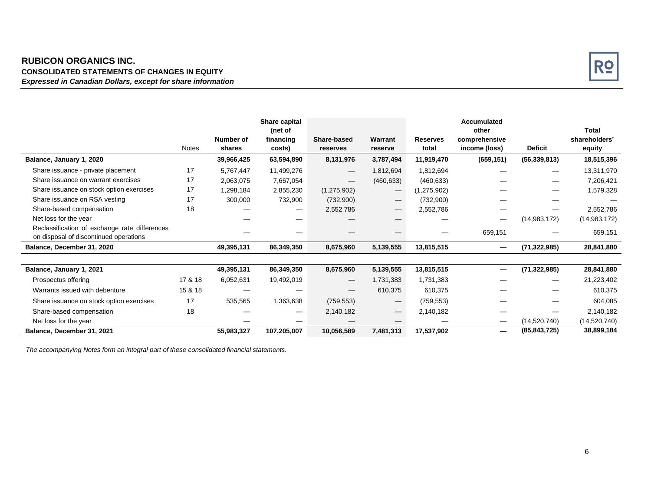### **RUBICON ORGANICS INC. CONSOLIDATED STATEMENTS OF CHANGES IN EQUITY** *Expressed in Canadian Dollars, except for share information*



|                                                                                         |              |                     | Share capital<br>(net of |                                 |                                 |                          | Accumulated<br>other           |                | Total                   |
|-----------------------------------------------------------------------------------------|--------------|---------------------|--------------------------|---------------------------------|---------------------------------|--------------------------|--------------------------------|----------------|-------------------------|
|                                                                                         | <b>Notes</b> | Number of<br>shares | financing<br>costs)      | Share-based<br>reserves         | Warrant<br>reserve              | <b>Reserves</b><br>total | comprehensive<br>income (loss) | <b>Deficit</b> | shareholders'<br>equity |
| Balance, January 1, 2020                                                                |              | 39,966,425          | 63,594,890               | 8,131,976                       | 3,787,494                       | 11,919,470               | (659, 151)                     | (56, 339, 813) | 18,515,396              |
| Share issuance - private placement                                                      | 17           | 5,767,447           | 11,499,276               | $\hspace{0.1mm}-\hspace{0.1mm}$ | 1,812,694                       | 1,812,694                |                                |                | 13,311,970              |
| Share issuance on warrant exercises                                                     | 17           | 2,063,075           | 7,667,054                |                                 | (460, 633)                      | (460, 633)               |                                |                | 7,206,421               |
| Share issuance on stock option exercises                                                | 17           | 1,298,184           | 2,855,230                | (1,275,902)                     | $\hspace{0.1mm}-\hspace{0.1mm}$ | (1, 275, 902)            |                                |                | 1,579,328               |
| Share issuance on RSA vesting                                                           | 17           | 300,000             | 732,900                  | (732,900)                       | $\hspace{0.1mm}-\hspace{0.1mm}$ | (732,900)                |                                |                |                         |
| Share-based compensation                                                                | 18           |                     |                          | 2,552,786                       |                                 | 2,552,786                |                                |                | 2,552,786               |
| Net loss for the year                                                                   |              |                     |                          |                                 |                                 |                          | —                              | (14, 983, 172) | (14,983,172)            |
| Reclassification of exchange rate differences<br>on disposal of discontinued operations |              |                     |                          |                                 |                                 |                          | 659,151                        |                | 659,151                 |
| Balance, December 31, 2020                                                              |              | 49,395,131          | 86,349,350               | 8,675,960                       | 5,139,555                       | 13,815,515               | —                              | (71, 322, 985) | 28,841,880              |
|                                                                                         |              |                     |                          |                                 |                                 |                          |                                |                |                         |
| Balance, January 1, 2021                                                                |              | 49,395,131          | 86,349,350               | 8,675,960                       | 5,139,555                       | 13,815,515               | —                              | (71, 322, 985) | 28,841,880              |
| Prospectus offering                                                                     | 17 & 18      | 6,052,631           | 19,492,019               | $\hspace{0.1mm}-\hspace{0.1mm}$ | 1,731,383                       | 1,731,383                |                                |                | 21,223,402              |
| Warrants issued with debenture                                                          | 15 & 18      |                     |                          |                                 | 610,375                         | 610,375                  |                                |                | 610,375                 |
| Share issuance on stock option exercises                                                | 17           | 535,565             | 1,363,638                | (759, 553)                      | $\hspace{0.1mm}-\hspace{0.1mm}$ | (759, 553)               |                                |                | 604,085                 |
| Share-based compensation                                                                | 18           |                     |                          | 2,140,182                       | $\hspace{0.1mm}-\hspace{0.1mm}$ | 2,140,182                |                                |                | 2,140,182               |
| Net loss for the year                                                                   |              |                     |                          |                                 |                                 |                          | —                              | (14,520,740)   | (14, 520, 740)          |
| Balance, December 31, 2021                                                              |              | 55,983,327          | 107,205,007              | 10,056,589                      | 7,481,313                       | 17,537,902               | –                              | (85, 843, 725) | 38,899,184              |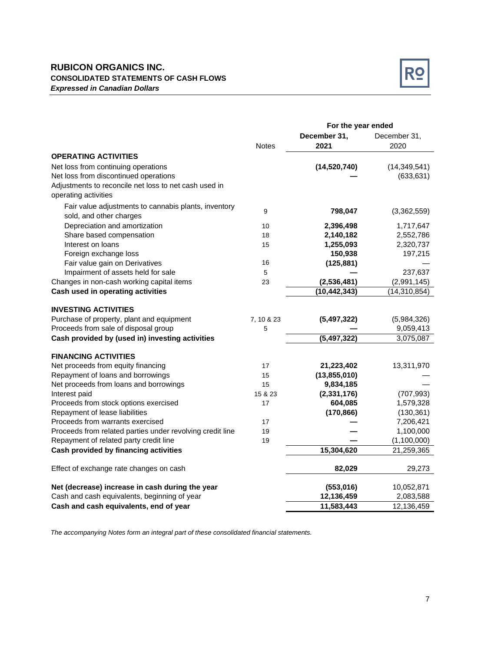### **RUBICON ORGANICS INC. CONSOLIDATED STATEMENTS OF CASH FLOWS** *Expressed in Canadian Dollars*



|                                                           | For the year ended |                          |                |
|-----------------------------------------------------------|--------------------|--------------------------|----------------|
|                                                           |                    | December 31,             | December 31,   |
|                                                           | <b>Notes</b>       | 2021                     | 2020           |
| <b>OPERATING ACTIVITIES</b>                               |                    |                          |                |
| Net loss from continuing operations                       |                    | (14,520,740)             | (14, 349, 541) |
| Net loss from discontinued operations                     |                    |                          | (633, 631)     |
| Adjustments to reconcile net loss to net cash used in     |                    |                          |                |
| operating activities                                      |                    |                          |                |
| Fair value adjustments to cannabis plants, inventory      |                    |                          |                |
| sold, and other charges                                   | 9                  | 798,047                  | (3,362,559)    |
| Depreciation and amortization                             | 10                 | 2,396,498                | 1,717,647      |
| Share based compensation                                  | 18                 | 2,140,182                | 2,552,786      |
| Interest on loans                                         | 15                 | 1,255,093                | 2,320,737      |
| Foreign exchange loss                                     |                    | 150,938                  | 197,215        |
| Fair value gain on Derivatives                            | 16                 | (125, 881)               |                |
| Impairment of assets held for sale                        | $\sqrt{5}$         |                          | 237,637        |
| Changes in non-cash working capital items                 | 23                 | (2,536,481)              | (2,991,145)    |
| Cash used in operating activities                         |                    | (10, 442, 343)           | (14, 310, 854) |
|                                                           |                    |                          |                |
| <b>INVESTING ACTIVITIES</b>                               |                    |                          |                |
| Purchase of property, plant and equipment                 | 7, 10 & 23         | (5,497,322)              | (5,984,326)    |
| Proceeds from sale of disposal group                      | 5                  |                          | 9,059,413      |
| Cash provided by (used in) investing activities           |                    | $\overline{(5,497,322)}$ | 3,075,087      |
| <b>FINANCING ACTIVITIES</b>                               |                    |                          |                |
| Net proceeds from equity financing                        | 17                 | 21,223,402               | 13,311,970     |
| Repayment of loans and borrowings                         | 15                 | (13,855,010)             |                |
| Net proceeds from loans and borrowings                    | 15                 | 9,834,185                |                |
| Interest paid                                             | 15 & 23            | (2,331,176)              | (707, 993)     |
| Proceeds from stock options exercised                     | 17                 | 604,085                  | 1,579,328      |
| Repayment of lease liabilities                            |                    | (170, 866)               | (130, 361)     |
| Proceeds from warrants exercised                          | 17                 |                          | 7,206,421      |
| Proceeds from related parties under revolving credit line | 19                 |                          | 1,100,000      |
| Repayment of related party credit line                    | 19                 |                          | (1,100,000)    |
| Cash provided by financing activities                     |                    | 15,304,620               | 21,259,365     |
| Effect of exchange rate changes on cash                   |                    | 82,029                   | 29,273         |
|                                                           |                    |                          |                |
| Net (decrease) increase in cash during the year           |                    | (553,016)                | 10,052,871     |
| Cash and cash equivalents, beginning of year              |                    | 12,136,459               | 2,083,588      |
| Cash and cash equivalents, end of year                    |                    | 11,583,443               | 12,136,459     |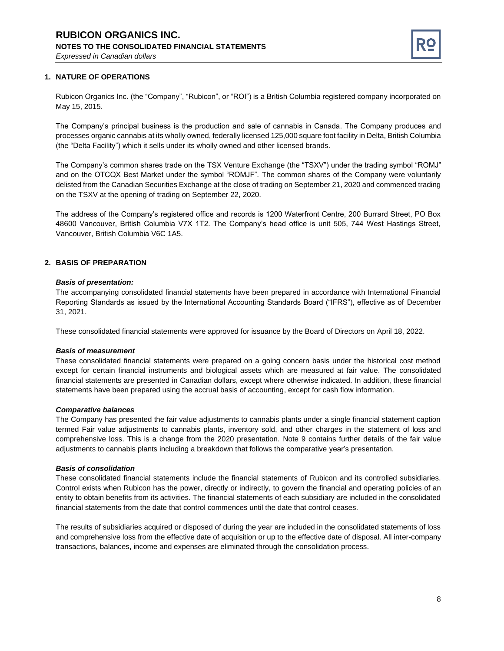

#### **1. NATURE OF OPERATIONS**

Rubicon Organics Inc. (the "Company", "Rubicon", or "ROI") is a British Columbia registered company incorporated on May 15, 2015.

The Company's principal business is the production and sale of cannabis in Canada. The Company produces and processes organic cannabis at its wholly owned, federally licensed 125,000 square foot facility in Delta, British Columbia (the "Delta Facility") which it sells under its wholly owned and other licensed brands.

The Company's common shares trade on the TSX Venture Exchange (the "TSXV") under the trading symbol "ROMJ" and on the OTCQX Best Market under the symbol "ROMJF". The common shares of the Company were voluntarily delisted from the Canadian Securities Exchange at the close of trading on September 21, 2020 and commenced trading on the TSXV at the opening of trading on September 22, 2020.

The address of the Company's registered office and records is 1200 Waterfront Centre, 200 Burrard Street, PO Box 48600 Vancouver, British Columbia V7X 1T2. The Company's head office is unit 505, 744 West Hastings Street, Vancouver, British Columbia V6C 1A5.

#### **2. BASIS OF PREPARATION**

#### *Basis of presentation:*

The accompanying consolidated financial statements have been prepared in accordance with International Financial Reporting Standards as issued by the International Accounting Standards Board ("IFRS"), effective as of December 31, 2021.

These consolidated financial statements were approved for issuance by the Board of Directors on April 18, 2022.

#### *Basis of measurement*

These consolidated financial statements were prepared on a going concern basis under the historical cost method except for certain financial instruments and biological assets which are measured at fair value. The consolidated financial statements are presented in Canadian dollars, except where otherwise indicated. In addition, these financial statements have been prepared using the accrual basis of accounting, except for cash flow information.

#### *Comparative balances*

The Company has presented the fair value adjustments to cannabis plants under a single financial statement caption termed Fair value adjustments to cannabis plants, inventory sold, and other charges in the statement of loss and comprehensive loss. This is a change from the 2020 presentation. Note 9 contains further details of the fair value adjustments to cannabis plants including a breakdown that follows the comparative year's presentation.

#### *Basis of consolidation*

These consolidated financial statements include the financial statements of Rubicon and its controlled subsidiaries. Control exists when Rubicon has the power, directly or indirectly, to govern the financial and operating policies of an entity to obtain benefits from its activities. The financial statements of each subsidiary are included in the consolidated financial statements from the date that control commences until the date that control ceases.

The results of subsidiaries acquired or disposed of during the year are included in the consolidated statements of loss and comprehensive loss from the effective date of acquisition or up to the effective date of disposal. All inter-company transactions, balances, income and expenses are eliminated through the consolidation process.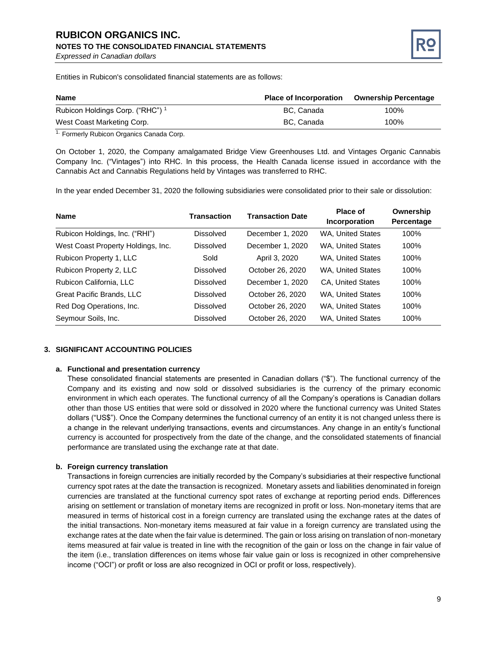# **RUBICON ORGANICS INC. NOTES TO THE CONSOLIDATED FINANCIAL STATEMENTS**

*Expressed in Canadian dollars*



Entities in Rubicon's consolidated financial statements are as follows:

| <b>Name</b>                                 | <b>Place of Incorporation</b> | <b>Ownership Percentage</b> |
|---------------------------------------------|-------------------------------|-----------------------------|
| Rubicon Holdings Corp. ("RHC") <sup>1</sup> | BC. Canada                    | 100%                        |
| West Coast Marketing Corp.                  | BC, Canada                    | 100%                        |

<sup>1.</sup> Formerly Rubicon Organics Canada Corp.

On October 1, 2020, the Company amalgamated Bridge View Greenhouses Ltd. and Vintages Organic Cannabis Company Inc. ("Vintages") into RHC. In this process, the Health Canada license issued in accordance with the Cannabis Act and Cannabis Regulations held by Vintages was transferred to RHC.

In the year ended December 31, 2020 the following subsidiaries were consolidated prior to their sale or dissolution:

| <b>Name</b>                        | <b>Transaction</b> | <b>Transaction Date</b> | Place of<br>Incorporation | Ownership<br>Percentage |
|------------------------------------|--------------------|-------------------------|---------------------------|-------------------------|
| Rubicon Holdings, Inc. ("RHI")     | Dissolved          | December 1, 2020        | <b>WA, United States</b>  | 100%                    |
| West Coast Property Holdings, Inc. | Dissolved          | December 1, 2020        | <b>WA. United States</b>  | 100%                    |
| Rubicon Property 1, LLC            | Sold               | April 3, 2020           | <b>WA, United States</b>  | 100%                    |
| Rubicon Property 2, LLC            | Dissolved          | October 26, 2020        | <b>WA, United States</b>  | 100%                    |
| Rubicon California, LLC            | Dissolved          | December 1, 2020        | <b>CA. United States</b>  | 100%                    |
| Great Pacific Brands, LLC          | Dissolved          | October 26, 2020        | <b>WA. United States</b>  | 100%                    |
| Red Dog Operations, Inc.           | Dissolved          | October 26, 2020        | <b>WA, United States</b>  | 100%                    |
| Seymour Soils, Inc.                | Dissolved          | October 26, 2020        | WA. United States         | 100%                    |

#### **3. SIGNIFICANT ACCOUNTING POLICIES**

#### **a. Functional and presentation currency**

These consolidated financial statements are presented in Canadian dollars ("\$"). The functional currency of the Company and its existing and now sold or dissolved subsidiaries is the currency of the primary economic environment in which each operates. The functional currency of all the Company's operations is Canadian dollars other than those US entities that were sold or dissolved in 2020 where the functional currency was United States dollars ("US\$"). Once the Company determines the functional currency of an entity it is not changed unless there is a change in the relevant underlying transactions, events and circumstances. Any change in an entity's functional currency is accounted for prospectively from the date of the change, and the consolidated statements of financial performance are translated using the exchange rate at that date.

#### **b. Foreign currency translation**

Transactions in foreign currencies are initially recorded by the Company's subsidiaries at their respective functional currency spot rates at the date the transaction is recognized. Monetary assets and liabilities denominated in foreign currencies are translated at the functional currency spot rates of exchange at reporting period ends. Differences arising on settlement or translation of monetary items are recognized in profit or loss. Non-monetary items that are measured in terms of historical cost in a foreign currency are translated using the exchange rates at the dates of the initial transactions. Non-monetary items measured at fair value in a foreign currency are translated using the exchange rates at the date when the fair value is determined. The gain or loss arising on translation of non-monetary items measured at fair value is treated in line with the recognition of the gain or loss on the change in fair value of the item (i.e., translation differences on items whose fair value gain or loss is recognized in other comprehensive income ("OCI") or profit or loss are also recognized in OCI or profit or loss, respectively).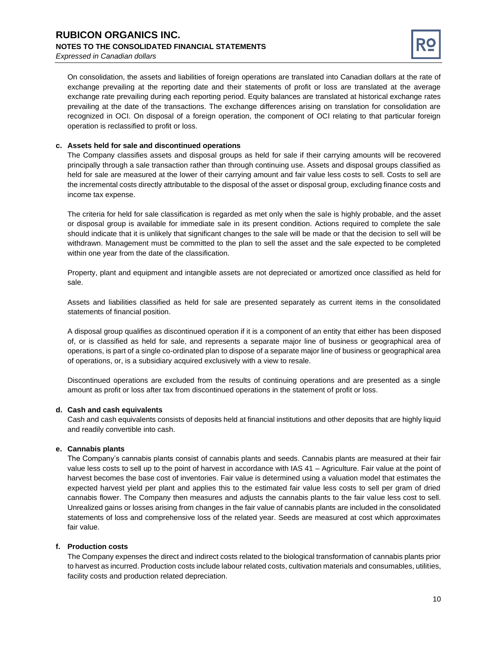

On consolidation, the assets and liabilities of foreign operations are translated into Canadian dollars at the rate of exchange prevailing at the reporting date and their statements of profit or loss are translated at the average exchange rate prevailing during each reporting period. Equity balances are translated at historical exchange rates prevailing at the date of the transactions. The exchange differences arising on translation for consolidation are recognized in OCI. On disposal of a foreign operation, the component of OCI relating to that particular foreign operation is reclassified to profit or loss.

#### **c. Assets held for sale and discontinued operations**

The Company classifies assets and disposal groups as held for sale if their carrying amounts will be recovered principally through a sale transaction rather than through continuing use. Assets and disposal groups classified as held for sale are measured at the lower of their carrying amount and fair value less costs to sell. Costs to sell are the incremental costs directly attributable to the disposal of the asset or disposal group, excluding finance costs and income tax expense.

The criteria for held for sale classification is regarded as met only when the sale is highly probable, and the asset or disposal group is available for immediate sale in its present condition. Actions required to complete the sale should indicate that it is unlikely that significant changes to the sale will be made or that the decision to sell will be withdrawn. Management must be committed to the plan to sell the asset and the sale expected to be completed within one year from the date of the classification.

Property, plant and equipment and intangible assets are not depreciated or amortized once classified as held for sale.

Assets and liabilities classified as held for sale are presented separately as current items in the consolidated statements of financial position.

A disposal group qualifies as discontinued operation if it is a component of an entity that either has been disposed of, or is classified as held for sale, and represents a separate major line of business or geographical area of operations, is part of a single co-ordinated plan to dispose of a separate major line of business or geographical area of operations, or, is a subsidiary acquired exclusively with a view to resale.

Discontinued operations are excluded from the results of continuing operations and are presented as a single amount as profit or loss after tax from discontinued operations in the statement of profit or loss.

#### **d. Cash and cash equivalents**

Cash and cash equivalents consists of deposits held at financial institutions and other deposits that are highly liquid and readily convertible into cash.

#### **e. Cannabis plants**

The Company's cannabis plants consist of cannabis plants and seeds. Cannabis plants are measured at their fair value less costs to sell up to the point of harvest in accordance with IAS 41 – Agriculture. Fair value at the point of harvest becomes the base cost of inventories. Fair value is determined using a valuation model that estimates the expected harvest yield per plant and applies this to the estimated fair value less costs to sell per gram of dried cannabis flower. The Company then measures and adjusts the cannabis plants to the fair value less cost to sell. Unrealized gains or losses arising from changes in the fair value of cannabis plants are included in the consolidated statements of loss and comprehensive loss of the related year. Seeds are measured at cost which approximates fair value.

#### **f. Production costs**

The Company expenses the direct and indirect costs related to the biological transformation of cannabis plants prior to harvest as incurred. Production costs include labour related costs, cultivation materials and consumables, utilities, facility costs and production related depreciation.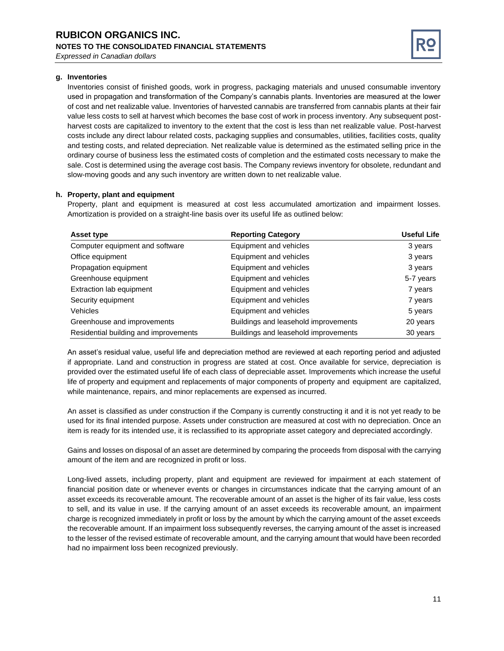

#### **g. Inventories**

Inventories consist of finished goods, work in progress, packaging materials and unused consumable inventory used in propagation and transformation of the Company's cannabis plants. Inventories are measured at the lower of cost and net realizable value. Inventories of harvested cannabis are transferred from cannabis plants at their fair value less costs to sell at harvest which becomes the base cost of work in process inventory. Any subsequent postharvest costs are capitalized to inventory to the extent that the cost is less than net realizable value. Post-harvest costs include any direct labour related costs, packaging supplies and consumables, utilities, facilities costs, quality and testing costs, and related depreciation. Net realizable value is determined as the estimated selling price in the ordinary course of business less the estimated costs of completion and the estimated costs necessary to make the sale. Cost is determined using the average cost basis. The Company reviews inventory for obsolete, redundant and slow-moving goods and any such inventory are written down to net realizable value.

#### **h. Property, plant and equipment**

Property, plant and equipment is measured at cost less accumulated amortization and impairment losses. Amortization is provided on a straight-line basis over its useful life as outlined below:

| Asset type                            | <b>Reporting Category</b>            | <b>Useful Life</b> |
|---------------------------------------|--------------------------------------|--------------------|
| Computer equipment and software       | Equipment and vehicles               | 3 years            |
| Office equipment                      | Equipment and vehicles               | 3 years            |
| Propagation equipment                 | Equipment and vehicles               | 3 years            |
| Greenhouse equipment                  | Equipment and vehicles               | 5-7 years          |
| Extraction lab equipment              | Equipment and vehicles               | 7 years            |
| Security equipment                    | Equipment and vehicles               | 7 years            |
| Vehicles                              | Equipment and vehicles               | 5 years            |
| Greenhouse and improvements           | Buildings and leasehold improvements | 20 years           |
| Residential building and improvements | Buildings and leasehold improvements | 30 years           |

An asset's residual value, useful life and depreciation method are reviewed at each reporting period and adjusted if appropriate. Land and construction in progress are stated at cost. Once available for service, depreciation is provided over the estimated useful life of each class of depreciable asset. Improvements which increase the useful life of property and equipment and replacements of major components of property and equipment are capitalized, while maintenance, repairs, and minor replacements are expensed as incurred.

An asset is classified as under construction if the Company is currently constructing it and it is not yet ready to be used for its final intended purpose. Assets under construction are measured at cost with no depreciation. Once an item is ready for its intended use, it is reclassified to its appropriate asset category and depreciated accordingly.

Gains and losses on disposal of an asset are determined by comparing the proceeds from disposal with the carrying amount of the item and are recognized in profit or loss.

Long-lived assets, including property, plant and equipment are reviewed for impairment at each statement of financial position date or whenever events or changes in circumstances indicate that the carrying amount of an asset exceeds its recoverable amount. The recoverable amount of an asset is the higher of its fair value, less costs to sell, and its value in use. If the carrying amount of an asset exceeds its recoverable amount, an impairment charge is recognized immediately in profit or loss by the amount by which the carrying amount of the asset exceeds the recoverable amount. If an impairment loss subsequently reverses, the carrying amount of the asset is increased to the lesser of the revised estimate of recoverable amount, and the carrying amount that would have been recorded had no impairment loss been recognized previously.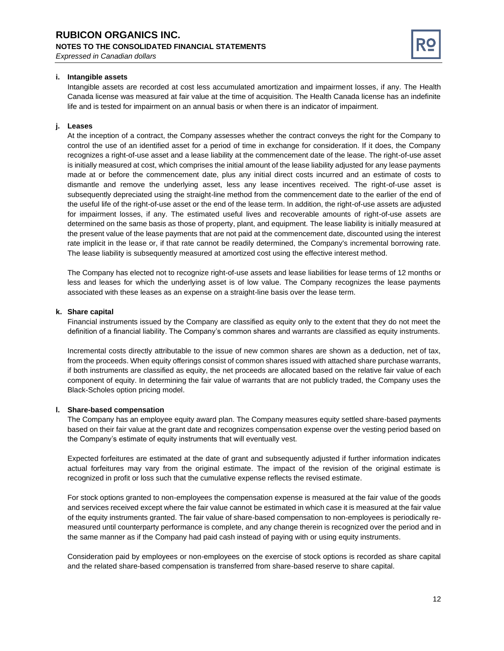

#### **i. Intangible assets**

Intangible assets are recorded at cost less accumulated amortization and impairment losses, if any. The Health Canada license was measured at fair value at the time of acquisition. The Health Canada license has an indefinite life and is tested for impairment on an annual basis or when there is an indicator of impairment.

#### **j. Leases**

At the inception of a contract, the Company assesses whether the contract conveys the right for the Company to control the use of an identified asset for a period of time in exchange for consideration. If it does, the Company recognizes a right-of-use asset and a lease liability at the commencement date of the lease. The right-of-use asset is initially measured at cost, which comprises the initial amount of the lease liability adjusted for any lease payments made at or before the commencement date, plus any initial direct costs incurred and an estimate of costs to dismantle and remove the underlying asset, less any lease incentives received. The right-of-use asset is subsequently depreciated using the straight-line method from the commencement date to the earlier of the end of the useful life of the right-of-use asset or the end of the lease term. In addition, the right-of-use assets are adjusted for impairment losses, if any. The estimated useful lives and recoverable amounts of right-of-use assets are determined on the same basis as those of property, plant, and equipment. The lease liability is initially measured at the present value of the lease payments that are not paid at the commencement date, discounted using the interest rate implicit in the lease or, if that rate cannot be readily determined, the Company's incremental borrowing rate. The lease liability is subsequently measured at amortized cost using the effective interest method.

The Company has elected not to recognize right-of-use assets and lease liabilities for lease terms of 12 months or less and leases for which the underlying asset is of low value. The Company recognizes the lease payments associated with these leases as an expense on a straight-line basis over the lease term.

#### **k. Share capital**

Financial instruments issued by the Company are classified as equity only to the extent that they do not meet the definition of a financial liability. The Company's common shares and warrants are classified as equity instruments.

Incremental costs directly attributable to the issue of new common shares are shown as a deduction, net of tax, from the proceeds. When equity offerings consist of common shares issued with attached share purchase warrants, if both instruments are classified as equity, the net proceeds are allocated based on the relative fair value of each component of equity. In determining the fair value of warrants that are not publicly traded, the Company uses the Black-Scholes option pricing model.

#### **l. Share-based compensation**

The Company has an employee equity award plan. The Company measures equity settled share-based payments based on their fair value at the grant date and recognizes compensation expense over the vesting period based on the Company's estimate of equity instruments that will eventually vest.

Expected forfeitures are estimated at the date of grant and subsequently adjusted if further information indicates actual forfeitures may vary from the original estimate. The impact of the revision of the original estimate is recognized in profit or loss such that the cumulative expense reflects the revised estimate.

For stock options granted to non-employees the compensation expense is measured at the fair value of the goods and services received except where the fair value cannot be estimated in which case it is measured at the fair value of the equity instruments granted. The fair value of share-based compensation to non-employees is periodically remeasured until counterparty performance is complete, and any change therein is recognized over the period and in the same manner as if the Company had paid cash instead of paying with or using equity instruments.

Consideration paid by employees or non-employees on the exercise of stock options is recorded as share capital and the related share-based compensation is transferred from share-based reserve to share capital.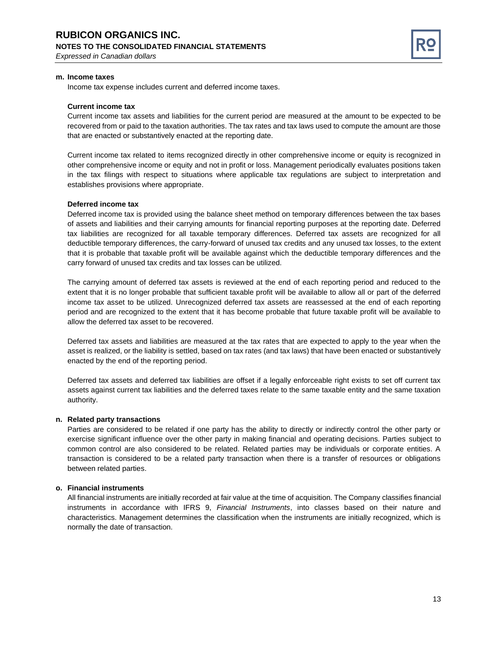

#### **m. Income taxes**

Income tax expense includes current and deferred income taxes.

#### **Current income tax**

Current income tax assets and liabilities for the current period are measured at the amount to be expected to be recovered from or paid to the taxation authorities. The tax rates and tax laws used to compute the amount are those that are enacted or substantively enacted at the reporting date.

Current income tax related to items recognized directly in other comprehensive income or equity is recognized in other comprehensive income or equity and not in profit or loss. Management periodically evaluates positions taken in the tax filings with respect to situations where applicable tax regulations are subject to interpretation and establishes provisions where appropriate.

#### **Deferred income tax**

Deferred income tax is provided using the balance sheet method on temporary differences between the tax bases of assets and liabilities and their carrying amounts for financial reporting purposes at the reporting date. Deferred tax liabilities are recognized for all taxable temporary differences. Deferred tax assets are recognized for all deductible temporary differences, the carry-forward of unused tax credits and any unused tax losses, to the extent that it is probable that taxable profit will be available against which the deductible temporary differences and the carry forward of unused tax credits and tax losses can be utilized.

The carrying amount of deferred tax assets is reviewed at the end of each reporting period and reduced to the extent that it is no longer probable that sufficient taxable profit will be available to allow all or part of the deferred income tax asset to be utilized. Unrecognized deferred tax assets are reassessed at the end of each reporting period and are recognized to the extent that it has become probable that future taxable profit will be available to allow the deferred tax asset to be recovered.

Deferred tax assets and liabilities are measured at the tax rates that are expected to apply to the year when the asset is realized, or the liability is settled, based on tax rates (and tax laws) that have been enacted or substantively enacted by the end of the reporting period.

Deferred tax assets and deferred tax liabilities are offset if a legally enforceable right exists to set off current tax assets against current tax liabilities and the deferred taxes relate to the same taxable entity and the same taxation authority.

#### **n. Related party transactions**

Parties are considered to be related if one party has the ability to directly or indirectly control the other party or exercise significant influence over the other party in making financial and operating decisions. Parties subject to common control are also considered to be related. Related parties may be individuals or corporate entities. A transaction is considered to be a related party transaction when there is a transfer of resources or obligations between related parties.

#### **o. Financial instruments**

All financial instruments are initially recorded at fair value at the time of acquisition. The Company classifies financial instruments in accordance with IFRS 9, *Financial Instruments*, into classes based on their nature and characteristics. Management determines the classification when the instruments are initially recognized, which is normally the date of transaction.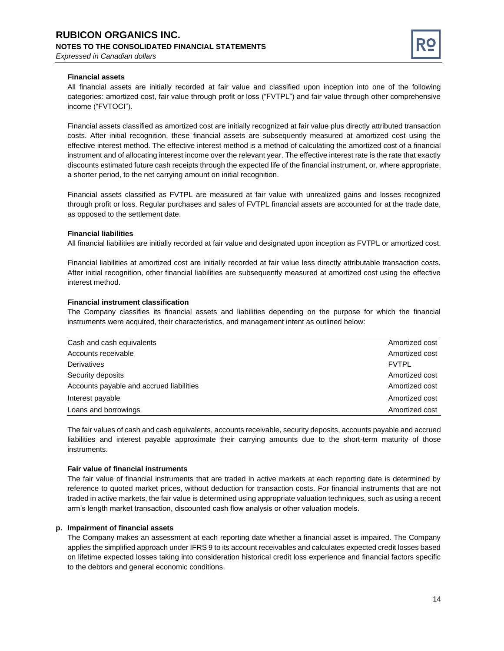

#### **Financial assets**

All financial assets are initially recorded at fair value and classified upon inception into one of the following categories: amortized cost, fair value through profit or loss ("FVTPL") and fair value through other comprehensive income ("FVTOCI").

Financial assets classified as amortized cost are initially recognized at fair value plus directly attributed transaction costs. After initial recognition, these financial assets are subsequently measured at amortized cost using the effective interest method. The effective interest method is a method of calculating the amortized cost of a financial instrument and of allocating interest income over the relevant year. The effective interest rate is the rate that exactly discounts estimated future cash receipts through the expected life of the financial instrument, or, where appropriate, a shorter period, to the net carrying amount on initial recognition.

Financial assets classified as FVTPL are measured at fair value with unrealized gains and losses recognized through profit or loss. Regular purchases and sales of FVTPL financial assets are accounted for at the trade date, as opposed to the settlement date.

#### **Financial liabilities**

All financial liabilities are initially recorded at fair value and designated upon inception as FVTPL or amortized cost.

Financial liabilities at amortized cost are initially recorded at fair value less directly attributable transaction costs. After initial recognition, other financial liabilities are subsequently measured at amortized cost using the effective interest method.

#### **Financial instrument classification**

The Company classifies its financial assets and liabilities depending on the purpose for which the financial instruments were acquired, their characteristics, and management intent as outlined below:

| Cash and cash equivalents                | Amortized cost |
|------------------------------------------|----------------|
| Accounts receivable                      | Amortized cost |
| Derivatives                              | <b>FVTPL</b>   |
| Security deposits                        | Amortized cost |
| Accounts payable and accrued liabilities | Amortized cost |
| Interest payable                         | Amortized cost |
| Loans and borrowings                     | Amortized cost |

The fair values of cash and cash equivalents, accounts receivable, security deposits, accounts payable and accrued liabilities and interest payable approximate their carrying amounts due to the short-term maturity of those instruments.

#### **Fair value of financial instruments**

The fair value of financial instruments that are traded in active markets at each reporting date is determined by reference to quoted market prices, without deduction for transaction costs. For financial instruments that are not traded in active markets, the fair value is determined using appropriate valuation techniques, such as using a recent arm's length market transaction, discounted cash flow analysis or other valuation models.

#### **p. Impairment of financial assets**

The Company makes an assessment at each reporting date whether a financial asset is impaired. The Company applies the simplified approach under IFRS 9 to its account receivables and calculates expected credit losses based on lifetime expected losses taking into consideration historical credit loss experience and financial factors specific to the debtors and general economic conditions.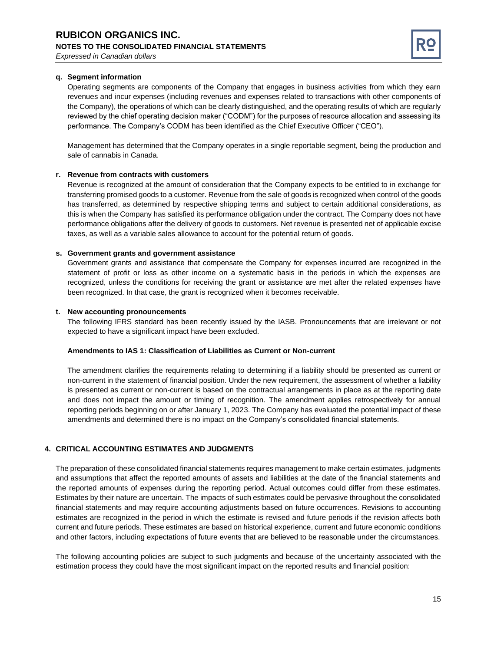

#### **q. Segment information**

Operating segments are components of the Company that engages in business activities from which they earn revenues and incur expenses (including revenues and expenses related to transactions with other components of the Company), the operations of which can be clearly distinguished, and the operating results of which are regularly reviewed by the chief operating decision maker ("CODM") for the purposes of resource allocation and assessing its performance. The Company's CODM has been identified as the Chief Executive Officer ("CEO").

Management has determined that the Company operates in a single reportable segment, being the production and sale of cannabis in Canada.

#### **r. Revenue from contracts with customers**

Revenue is recognized at the amount of consideration that the Company expects to be entitled to in exchange for transferring promised goods to a customer. Revenue from the sale of goods is recognized when control of the goods has transferred, as determined by respective shipping terms and subject to certain additional considerations, as this is when the Company has satisfied its performance obligation under the contract. The Company does not have performance obligations after the delivery of goods to customers. Net revenue is presented net of applicable excise taxes, as well as a variable sales allowance to account for the potential return of goods.

#### **s. Government grants and government assistance**

Government grants and assistance that compensate the Company for expenses incurred are recognized in the statement of profit or loss as other income on a systematic basis in the periods in which the expenses are recognized, unless the conditions for receiving the grant or assistance are met after the related expenses have been recognized. In that case, the grant is recognized when it becomes receivable.

#### **t. New accounting pronouncements**

The following IFRS standard has been recently issued by the IASB. Pronouncements that are irrelevant or not expected to have a significant impact have been excluded.

#### **Amendments to IAS 1: Classification of Liabilities as Current or Non-current**

The amendment clarifies the requirements relating to determining if a liability should be presented as current or non-current in the statement of financial position. Under the new requirement, the assessment of whether a liability is presented as current or non-current is based on the contractual arrangements in place as at the reporting date and does not impact the amount or timing of recognition. The amendment applies retrospectively for annual reporting periods beginning on or after January 1, 2023. The Company has evaluated the potential impact of these amendments and determined there is no impact on the Company's consolidated financial statements.

#### **4. CRITICAL ACCOUNTING ESTIMATES AND JUDGMENTS**

The preparation of these consolidated financial statements requires management to make certain estimates, judgments and assumptions that affect the reported amounts of assets and liabilities at the date of the financial statements and the reported amounts of expenses during the reporting period. Actual outcomes could differ from these estimates. Estimates by their nature are uncertain. The impacts of such estimates could be pervasive throughout the consolidated financial statements and may require accounting adjustments based on future occurrences. Revisions to accounting estimates are recognized in the period in which the estimate is revised and future periods if the revision affects both current and future periods. These estimates are based on historical experience, current and future economic conditions and other factors, including expectations of future events that are believed to be reasonable under the circumstances.

The following accounting policies are subject to such judgments and because of the uncertainty associated with the estimation process they could have the most significant impact on the reported results and financial position: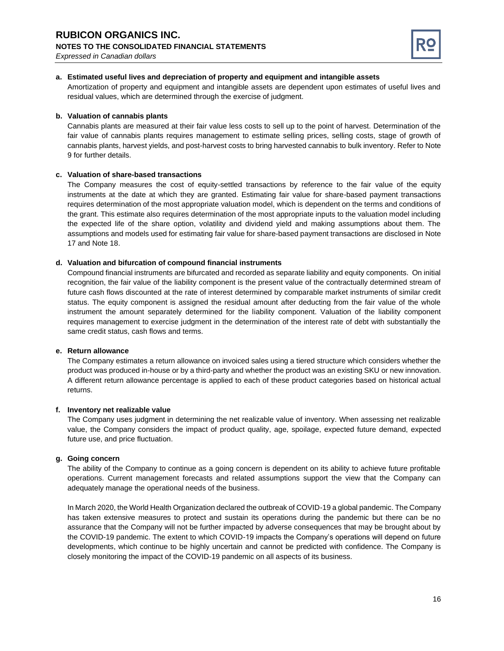

#### **a. Estimated useful lives and depreciation of property and equipment and intangible assets**

Amortization of property and equipment and intangible assets are dependent upon estimates of useful lives and residual values, which are determined through the exercise of judgment.

#### **b. Valuation of cannabis plants**

Cannabis plants are measured at their fair value less costs to sell up to the point of harvest. Determination of the fair value of cannabis plants requires management to estimate selling prices, selling costs, stage of growth of cannabis plants, harvest yields, and post-harvest costs to bring harvested cannabis to bulk inventory. Refer to Note 9 for further details.

#### **c. Valuation of share-based transactions**

The Company measures the cost of equity-settled transactions by reference to the fair value of the equity instruments at the date at which they are granted. Estimating fair value for share-based payment transactions requires determination of the most appropriate valuation model, which is dependent on the terms and conditions of the grant. This estimate also requires determination of the most appropriate inputs to the valuation model including the expected life of the share option, volatility and dividend yield and making assumptions about them. The assumptions and models used for estimating fair value for share-based payment transactions are disclosed in Note 17 and Note 18.

#### **d. Valuation and bifurcation of compound financial instruments**

Compound financial instruments are bifurcated and recorded as separate liability and equity components. On initial recognition, the fair value of the liability component is the present value of the contractually determined stream of future cash flows discounted at the rate of interest determined by comparable market instruments of similar credit status. The equity component is assigned the residual amount after deducting from the fair value of the whole instrument the amount separately determined for the liability component. Valuation of the liability component requires management to exercise judgment in the determination of the interest rate of debt with substantially the same credit status, cash flows and terms.

#### **e. Return allowance**

The Company estimates a return allowance on invoiced sales using a tiered structure which considers whether the product was produced in-house or by a third-party and whether the product was an existing SKU or new innovation. A different return allowance percentage is applied to each of these product categories based on historical actual returns.

#### **f. Inventory net realizable value**

The Company uses judgment in determining the net realizable value of inventory. When assessing net realizable value, the Company considers the impact of product quality, age, spoilage, expected future demand, expected future use, and price fluctuation.

#### **g. Going concern**

The ability of the Company to continue as a going concern is dependent on its ability to achieve future profitable operations. Current management forecasts and related assumptions support the view that the Company can adequately manage the operational needs of the business.

In March 2020, the World Health Organization declared the outbreak of COVID-19 a global pandemic. The Company has taken extensive measures to protect and sustain its operations during the pandemic but there can be no assurance that the Company will not be further impacted by adverse consequences that may be brought about by the COVID-19 pandemic. The extent to which COVID-19 impacts the Company's operations will depend on future developments, which continue to be highly uncertain and cannot be predicted with confidence. The Company is closely monitoring the impact of the COVID-19 pandemic on all aspects of its business.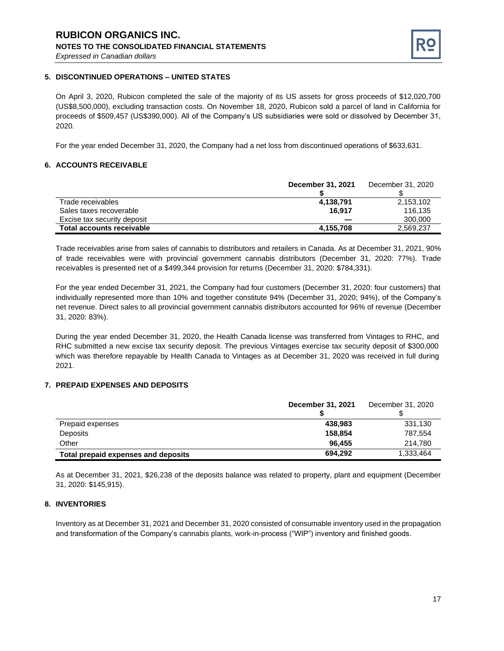

#### **5. DISCONTINUED OPERATIONS – UNITED STATES**

On April 3, 2020, Rubicon completed the sale of the majority of its US assets for gross proceeds of \$12,020,700 (US\$8,500,000), excluding transaction costs. On November 18, 2020, Rubicon sold a parcel of land in California for proceeds of \$509,457 (US\$390,000). All of the Company's US subsidiaries were sold or dissolved by December 31, 2020.

For the year ended December 31, 2020, the Company had a net loss from discontinued operations of \$633,631.

#### **6. ACCOUNTS RECEIVABLE**

|                                  | December 31, 2021 | December 31, 2020 |
|----------------------------------|-------------------|-------------------|
| Trade receivables                | 4,138,791         | 2,153,102         |
| Sales taxes recoverable          | 16.917            | 116.135           |
| Excise tax security deposit      |                   | 300,000           |
| <b>Total accounts receivable</b> | 4,155,708         | 2.569.237         |

Trade receivables arise from sales of cannabis to distributors and retailers in Canada. As at December 31, 2021, 90% of trade receivables were with provincial government cannabis distributors (December 31, 2020: 77%). Trade receivables is presented net of a \$499,344 provision for returns (December 31, 2020: \$784,331).

For the year ended December 31, 2021, the Company had four customers (December 31, 2020: four customers) that individually represented more than 10% and together constitute 94% (December 31, 2020; 94%), of the Company's net revenue. Direct sales to all provincial government cannabis distributors accounted for 96% of revenue (December 31, 2020: 83%).

During the year ended December 31, 2020, the Health Canada license was transferred from Vintages to RHC, and RHC submitted a new excise tax security deposit. The previous Vintages exercise tax security deposit of \$300,000 which was therefore repayable by Health Canada to Vintages as at December 31, 2020 was received in full during 2021.

#### **7. PREPAID EXPENSES AND DEPOSITS**

|                                     | December 31, 2021 | December 31, 2020 |
|-------------------------------------|-------------------|-------------------|
| Prepaid expenses                    | 438.983           | 331,130           |
| Deposits                            | 158.854           | 787,554           |
| Other                               | 96.455            | 214.780           |
| Total prepaid expenses and deposits | 694.292           | 1,333,464         |

As at December 31, 2021, \$26,238 of the deposits balance was related to property, plant and equipment (December 31, 2020: \$145,915).

#### **8. INVENTORIES**

Inventory as at December 31, 2021 and December 31, 2020 consisted of consumable inventory used in the propagation and transformation of the Company's cannabis plants, work-in-process ("WIP") inventory and finished goods.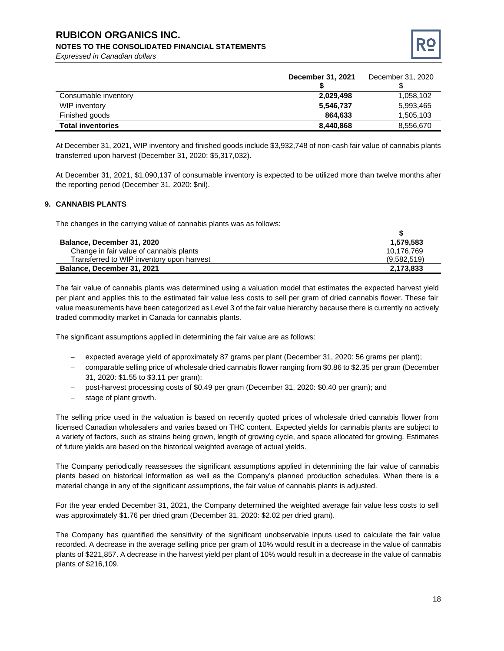# **RUBICON ORGANICS INC.**

#### **NOTES TO THE CONSOLIDATED FINANCIAL STATEMENTS**

*Expressed in Canadian dollars*



|                          | December 31, 2021 | December 31, 2020 |
|--------------------------|-------------------|-------------------|
| Consumable inventory     | 2,029,498         | 1,058,102         |
| WIP inventory            | 5,546,737         | 5,993,465         |
| Finished goods           | 864.633           | 1,505,103         |
| <b>Total inventories</b> | 8,440,868         | 8,556,670         |

At December 31, 2021, WIP inventory and finished goods include \$3,932,748 of non-cash fair value of cannabis plants transferred upon harvest (December 31, 2020: \$5,317,032).

At December 31, 2021, \$1,090,137 of consumable inventory is expected to be utilized more than twelve months after the reporting period (December 31, 2020: \$nil).

#### **9. CANNABIS PLANTS**

The changes in the carrying value of cannabis plants was as follows:

| Balance, December 31, 2020                | 1,579,583   |
|-------------------------------------------|-------------|
| Change in fair value of cannabis plants   | 10.176.769  |
| Transferred to WIP inventory upon harvest | (9,582,519) |
| Balance, December 31, 2021                | 2,173,833   |

The fair value of cannabis plants was determined using a valuation model that estimates the expected harvest yield per plant and applies this to the estimated fair value less costs to sell per gram of dried cannabis flower. These fair value measurements have been categorized as Level 3 of the fair value hierarchy because there is currently no actively traded commodity market in Canada for cannabis plants.

The significant assumptions applied in determining the fair value are as follows:

- expected average yield of approximately 87 grams per plant (December 31, 2020: 56 grams per plant);
- − comparable selling price of wholesale dried cannabis flower ranging from \$0.86 to \$2.35 per gram (December 31, 2020: \$1.55 to \$3.11 per gram);
- − post-harvest processing costs of \$0.49 per gram (December 31, 2020: \$0.40 per gram); and
- stage of plant growth.

The selling price used in the valuation is based on recently quoted prices of wholesale dried cannabis flower from licensed Canadian wholesalers and varies based on THC content. Expected yields for cannabis plants are subject to a variety of factors, such as strains being grown, length of growing cycle, and space allocated for growing. Estimates of future yields are based on the historical weighted average of actual yields.

The Company periodically reassesses the significant assumptions applied in determining the fair value of cannabis plants based on historical information as well as the Company's planned production schedules. When there is a material change in any of the significant assumptions, the fair value of cannabis plants is adjusted.

For the year ended December 31, 2021, the Company determined the weighted average fair value less costs to sell was approximately \$1.76 per dried gram (December 31, 2020: \$2.02 per dried gram).

The Company has quantified the sensitivity of the significant unobservable inputs used to calculate the fair value recorded. A decrease in the average selling price per gram of 10% would result in a decrease in the value of cannabis plants of \$221,857. A decrease in the harvest yield per plant of 10% would result in a decrease in the value of cannabis plants of \$216,109.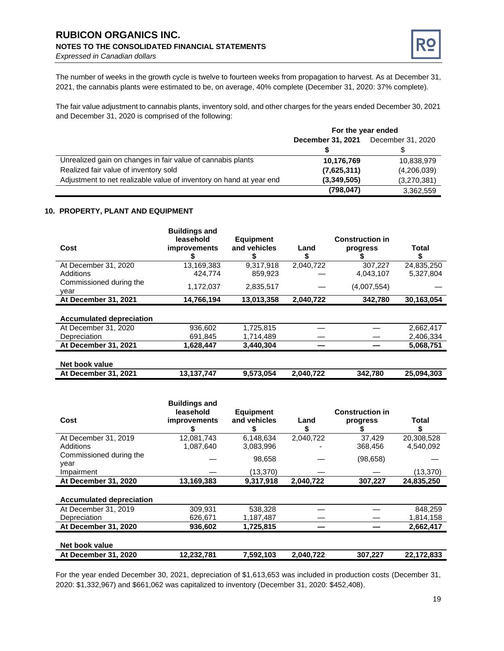#### **RUBICON ORGANICS INC. NOTES TO THE CONSOLIDATED FINANCIAL STATEMENTS** *Expressed in Canadian dollars*



The number of weeks in the growth cycle is twelve to fourteen weeks from propagation to harvest. As at December 31, 2021, the cannabis plants were estimated to be, on average, 40% complete (December 31, 2020: 37% complete).

The fair value adjustment to cannabis plants, inventory sold, and other charges for the years ended December 30, 2021 and December 31, 2020 is comprised of the following:

|                                                                     | For the year ended                     |             |  |
|---------------------------------------------------------------------|----------------------------------------|-------------|--|
|                                                                     | December 31, 2021<br>December 31, 2020 |             |  |
|                                                                     |                                        |             |  |
| Unrealized gain on changes in fair value of cannabis plants         | 10,176,769                             | 10,838,979  |  |
| Realized fair value of inventory sold                               | (7,625,311)                            | (4,206,039) |  |
| Adjustment to net realizable value of inventory on hand at year end | (3,349,505)                            | (3,270,381) |  |
|                                                                     | (798, 047)                             | 3,362,559   |  |

#### **10. PROPERTY, PLANT AND EQUIPMENT**

|                                 | <b>Buildings and</b><br>leasehold | <b>Equipment</b> |           | <b>Construction in</b> |            |
|---------------------------------|-----------------------------------|------------------|-----------|------------------------|------------|
| Cost                            | <i>improvements</i>               | and vehicles     | Land<br>Ъ | progress               | Total      |
| At December 31, 2020            | 13,169,383                        | 9.317.918        | 2,040,722 | 307.227                | 24,835,250 |
| <b>Additions</b>                | 424.774                           | 859,923          |           | 4,043,107              | 5,327,804  |
| Commissioned during the<br>year | 1,172,037                         | 2,835,517        |           | (4,007,554)            |            |
| At December 31, 2021            | 14,766,194                        | 13,013,358       | 2,040,722 | 342,780                | 30,163,054 |
|                                 |                                   |                  |           |                        |            |
| <b>Accumulated depreciation</b> |                                   |                  |           |                        |            |
| At December 31, 2020            | 936,602                           | 1,725,815        |           |                        | 2,662,417  |
| Depreciation                    | 691,845                           | 1,714,489        |           |                        | 2,406,334  |
| At December 31, 2021            | 1,628,447                         | 3,440,304        |           |                        | 5,068,751  |
| Net book value                  |                                   |                  |           |                        |            |
| At December 31, 2021            | 13,137,747                        | 9,573,054        | 2,040,722 | 342,780                | 25,094,303 |

|                                 | <b>Buildings and</b><br>leasehold | <b>Equipment</b> |           | <b>Construction in</b> |            |
|---------------------------------|-----------------------------------|------------------|-----------|------------------------|------------|
| Cost                            | <i>improvements</i>               | and vehicles     | Land      | progress               | Total      |
| At December 31, 2019            | 12,081,743                        | 6.148.634        | 2,040,722 | 37,429                 | 20,308,528 |
| Additions                       | 1,087,640                         | 3.083.996        |           | 368,456                | 4.540.092  |
| Commissioned during the<br>vear |                                   | 98,658           |           | (98, 658)              |            |
| Impairment                      |                                   | (13,370)         |           |                        | (13, 370)  |
| At December 31, 2020            | 13,169,383                        | 9,317,918        | 2,040,722 | 307,227                | 24,835,250 |
| <b>Accumulated depreciation</b> |                                   |                  |           |                        |            |
| At December 31, 2019            | 309,931                           | 538,328          |           |                        | 848,259    |
| Depreciation                    | 626,671                           | 1,187,487        |           |                        | 1,814,158  |
| At December 31, 2020            | 936,602                           | 1,725,815        |           |                        | 2,662,417  |
| Net book value                  |                                   |                  |           |                        |            |
| At December 31, 2020            | 12.232.781                        | 7.592.103        | 2.040.722 | 307,227                | 22.172.833 |

For the year ended December 30, 2021, depreciation of \$1,613,653 was included in production costs (December 31, 2020: \$1,332,967) and \$661,062 was capitalized to inventory (December 31, 2020: \$452,408).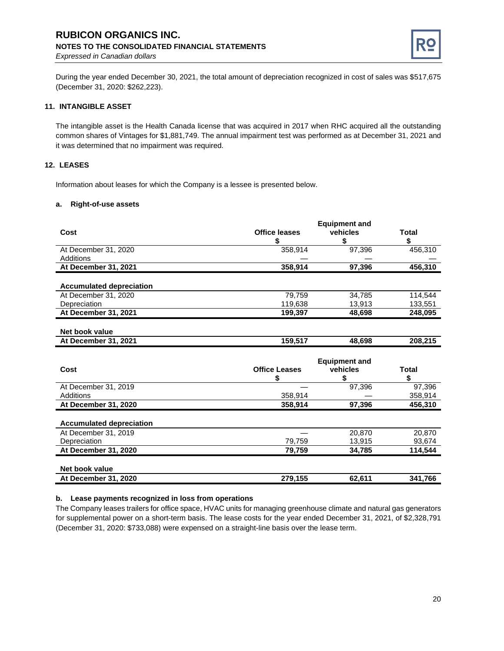# **RUBICON ORGANICS INC. NOTES TO THE CONSOLIDATED FINANCIAL STATEMENTS**



*Expressed in Canadian dollars*

During the year ended December 30, 2021, the total amount of depreciation recognized in cost of sales was \$517,675 (December 31, 2020: \$262,223).

#### **11. INTANGIBLE ASSET**

The intangible asset is the Health Canada license that was acquired in 2017 when RHC acquired all the outstanding common shares of Vintages for \$1,881,749. The annual impairment test was performed as at December 31, 2021 and it was determined that no impairment was required.

#### **12. LEASES**

Information about leases for which the Company is a lessee is presented below.

#### **a. Right-of-use assets**

| Cost                            | <b>Office leases</b><br>\$ | <b>Equipment and</b><br>vehicles<br>\$ | <b>Total</b><br>\$ |
|---------------------------------|----------------------------|----------------------------------------|--------------------|
| At December 31, 2020            | 358,914                    | 97,396                                 | 456,310            |
| <b>Additions</b>                |                            |                                        |                    |
| At December 31, 2021            | 358,914                    | 97,396                                 | 456,310            |
| <b>Accumulated depreciation</b> |                            |                                        |                    |
| At December 31, 2020            | 79,759                     | 34,785                                 | 114,544            |
| Depreciation                    | 119,638                    | 13,913                                 | 133,551            |
| At December 31, 2021            | 199,397                    | 48,698                                 | 248,095            |
| Net book value                  |                            |                                        |                    |
| At December 31, 2021            | 159,517                    | 48,698                                 | 208,215            |
| Cost                            | <b>Office Leases</b>       | <b>Equipment and</b><br>vehicles       | <b>Total</b>       |
|                                 | \$                         | \$                                     | \$                 |
| At December 31, 2019            |                            | 97,396                                 | 97.396             |
| Additions                       | 358,914                    |                                        | 358,914            |
| At December 31, 2020            | 358,914                    | 97,396                                 | 456,310            |
| <b>Accumulated depreciation</b> |                            |                                        |                    |
| At December 31, 2019            |                            | 20,870                                 | 20,870             |
| Depreciation                    | 79,759                     | 13,915                                 | 93,674             |
| At December 31, 2020            | 79,759                     | 34,785                                 | 114,544            |
| Net book value                  |                            |                                        |                    |
| At December 31, 2020            | 279,155                    | 62,611                                 | 341,766            |

#### **b. Lease payments recognized in loss from operations**

The Company leases trailers for office space, HVAC units for managing greenhouse climate and natural gas generators for supplemental power on a short-term basis. The lease costs for the year ended December 31, 2021, of \$2,328,791 (December 31, 2020: \$733,088) were expensed on a straight-line basis over the lease term.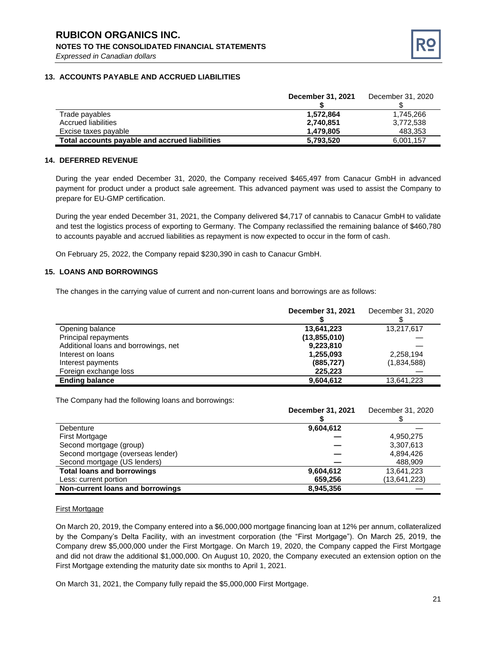

#### **13. ACCOUNTS PAYABLE AND ACCRUED LIABILITIES**

|                                                | December 31, 2021 | December 31, 2020 |
|------------------------------------------------|-------------------|-------------------|
|                                                |                   |                   |
| Trade payables                                 | 1.572.864         | 1.745.266         |
| Accrued liabilities                            | 2,740,851         | 3.772.538         |
| Excise taxes payable                           | 1.479.805         | 483,353           |
| Total accounts payable and accrued liabilities | 5,793,520         | 6.001.157         |

#### **14. DEFERRED REVENUE**

During the year ended December 31, 2020, the Company received \$465,497 from Canacur GmbH in advanced payment for product under a product sale agreement. This advanced payment was used to assist the Company to prepare for EU-GMP certification.

During the year ended December 31, 2021, the Company delivered \$4,717 of cannabis to Canacur GmbH to validate and test the logistics process of exporting to Germany. The Company reclassified the remaining balance of \$460,780 to accounts payable and accrued liabilities as repayment is now expected to occur in the form of cash.

On February 25, 2022, the Company repaid \$230,390 in cash to Canacur GmbH.

#### **15. LOANS AND BORROWINGS**

The changes in the carrying value of current and non-current loans and borrowings are as follows:

|                                      | December 31, 2021 | December 31, 2020 |
|--------------------------------------|-------------------|-------------------|
|                                      |                   |                   |
| Opening balance                      | 13,641,223        | 13,217,617        |
| Principal repayments                 | (13,855,010)      |                   |
| Additional loans and borrowings, net | 9,223,810         |                   |
| Interest on loans                    | 1,255,093         | 2,258,194         |
| Interest payments                    | (885, 727)        | (1,834,588)       |
| Foreign exchange loss                | 225,223           |                   |
| <b>Ending balance</b>                | 9,604,612         | 13,641,223        |

The Company had the following loans and borrowings:

|                                   | December 31, 2021 | December 31, 2020 |
|-----------------------------------|-------------------|-------------------|
|                                   |                   |                   |
| Debenture                         | 9,604,612         |                   |
| <b>First Mortgage</b>             |                   | 4,950,275         |
| Second mortgage (group)           |                   | 3,307,613         |
| Second mortgage (overseas lender) |                   | 4,894,426         |
| Second mortgage (US lenders)      |                   | 488,909           |
| <b>Total loans and borrowings</b> | 9,604,612         | 13,641,223        |
| Less: current portion             | 659,256           | (13,641,223)      |
| Non-current loans and borrowings  | 8.945.356         |                   |

#### First Mortgage

On March 20, 2019, the Company entered into a \$6,000,000 mortgage financing loan at 12% per annum, collateralized by the Company's Delta Facility, with an investment corporation (the "First Mortgage"). On March 25, 2019, the Company drew \$5,000,000 under the First Mortgage. On March 19, 2020, the Company capped the First Mortgage and did not draw the additional \$1,000,000. On August 10, 2020, the Company executed an extension option on the First Mortgage extending the maturity date six months to April 1, 2021.

On March 31, 2021, the Company fully repaid the \$5,000,000 First Mortgage.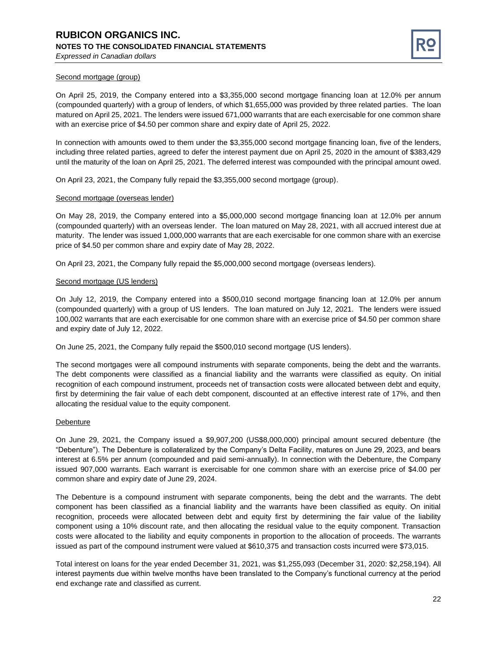

#### Second mortgage (group)

On April 25, 2019, the Company entered into a \$3,355,000 second mortgage financing loan at 12.0% per annum (compounded quarterly) with a group of lenders, of which \$1,655,000 was provided by three related parties. The loan matured on April 25, 2021. The lenders were issued 671,000 warrants that are each exercisable for one common share with an exercise price of \$4.50 per common share and expiry date of April 25, 2022.

In connection with amounts owed to them under the \$3,355,000 second mortgage financing loan, five of the lenders, including three related parties, agreed to defer the interest payment due on April 25, 2020 in the amount of \$383,429 until the maturity of the loan on April 25, 2021. The deferred interest was compounded with the principal amount owed.

On April 23, 2021, the Company fully repaid the \$3,355,000 second mortgage (group).

#### Second mortgage (overseas lender)

On May 28, 2019, the Company entered into a \$5,000,000 second mortgage financing loan at 12.0% per annum (compounded quarterly) with an overseas lender. The loan matured on May 28, 2021, with all accrued interest due at maturity. The lender was issued 1,000,000 warrants that are each exercisable for one common share with an exercise price of \$4.50 per common share and expiry date of May 28, 2022.

On April 23, 2021, the Company fully repaid the \$5,000,000 second mortgage (overseas lenders).

#### Second mortgage (US lenders)

On July 12, 2019, the Company entered into a \$500,010 second mortgage financing loan at 12.0% per annum (compounded quarterly) with a group of US lenders. The loan matured on July 12, 2021. The lenders were issued 100,002 warrants that are each exercisable for one common share with an exercise price of \$4.50 per common share and expiry date of July 12, 2022.

On June 25, 2021, the Company fully repaid the \$500,010 second mortgage (US lenders).

The second mortgages were all compound instruments with separate components, being the debt and the warrants. The debt components were classified as a financial liability and the warrants were classified as equity. On initial recognition of each compound instrument, proceeds net of transaction costs were allocated between debt and equity, first by determining the fair value of each debt component, discounted at an effective interest rate of 17%, and then allocating the residual value to the equity component.

#### Debenture

On June 29, 2021, the Company issued a \$9,907,200 (US\$8,000,000) principal amount secured debenture (the "Debenture"). The Debenture is collateralized by the Company's Delta Facility, matures on June 29, 2023, and bears interest at 6.5% per annum (compounded and paid semi-annually). In connection with the Debenture, the Company issued 907,000 warrants. Each warrant is exercisable for one common share with an exercise price of \$4.00 per common share and expiry date of June 29, 2024.

The Debenture is a compound instrument with separate components, being the debt and the warrants. The debt component has been classified as a financial liability and the warrants have been classified as equity. On initial recognition, proceeds were allocated between debt and equity first by determining the fair value of the liability component using a 10% discount rate, and then allocating the residual value to the equity component. Transaction costs were allocated to the liability and equity components in proportion to the allocation of proceeds. The warrants issued as part of the compound instrument were valued at \$610,375 and transaction costs incurred were \$73,015.

Total interest on loans for the year ended December 31, 2021, was \$1,255,093 (December 31, 2020: \$2,258,194). All interest payments due within twelve months have been translated to the Company's functional currency at the period end exchange rate and classified as current.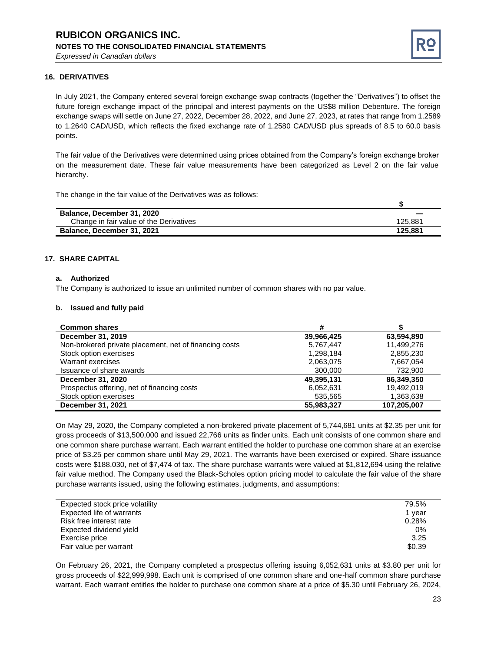

#### **16. DERIVATIVES**

In July 2021, the Company entered several foreign exchange swap contracts (together the "Derivatives") to offset the future foreign exchange impact of the principal and interest payments on the US\$8 million Debenture. The foreign exchange swaps will settle on June 27, 2022, December 28, 2022, and June 27, 2023, at rates that range from 1.2589 to 1.2640 CAD/USD, which reflects the fixed exchange rate of 1.2580 CAD/USD plus spreads of 8.5 to 60.0 basis points.

The fair value of the Derivatives were determined using prices obtained from the Company's foreign exchange broker on the measurement date. These fair value measurements have been categorized as Level 2 on the fair value hierarchy.

The change in the fair value of the Derivatives was as follows:

| Balance, December 31, 2020              |         |
|-----------------------------------------|---------|
| Change in fair value of the Derivatives | 125.881 |
| Balance, December 31, 2021              | 125.881 |

#### **17. SHARE CAPITAL**

#### **a. Authorized**

The Company is authorized to issue an unlimited number of common shares with no par value.

#### **b. Issued and fully paid**

| <b>Common shares</b>                                   | #          |             |
|--------------------------------------------------------|------------|-------------|
| December 31, 2019                                      | 39,966,425 | 63,594,890  |
| Non-brokered private placement, net of financing costs | 5.767.447  | 11.499.276  |
| Stock option exercises                                 | 1,298,184  | 2,855,230   |
| Warrant exercises                                      | 2,063,075  | 7,667,054   |
| Issuance of share awards                               | 300,000    | 732,900     |
| December 31, 2020                                      | 49,395,131 | 86,349,350  |
| Prospectus offering, net of financing costs            | 6,052,631  | 19.492.019  |
| Stock option exercises                                 | 535,565    | 1,363,638   |
| December 31, 2021                                      | 55,983,327 | 107,205,007 |

On May 29, 2020, the Company completed a non-brokered private placement of 5,744,681 units at \$2.35 per unit for gross proceeds of \$13,500,000 and issued 22,766 units as finder units. Each unit consists of one common share and one common share purchase warrant. Each warrant entitled the holder to purchase one common share at an exercise price of \$3.25 per common share until May 29, 2021. The warrants have been exercised or expired. Share issuance costs were \$188,030, net of \$7,474 of tax. The share purchase warrants were valued at \$1,812,694 using the relative fair value method. The Company used the Black-Scholes option pricing model to calculate the fair value of the share purchase warrants issued, using the following estimates, judgments, and assumptions:

| Expected stock price volatility | 79.5%  |
|---------------------------------|--------|
| Expected life of warrants       | 1 vear |
| Risk free interest rate         | 0.28%  |
| Expected dividend yield         | 0%     |
| Exercise price                  | 3.25   |
| Fair value per warrant          | \$0.39 |

On February 26, 2021, the Company completed a prospectus offering issuing 6,052,631 units at \$3.80 per unit for gross proceeds of \$22,999,998. Each unit is comprised of one common share and one-half common share purchase warrant. Each warrant entitles the holder to purchase one common share at a price of \$5.30 until February 26, 2024,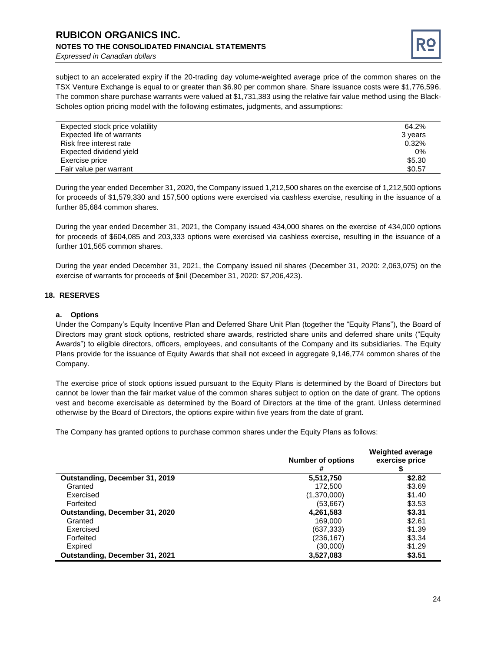# **RUBICON ORGANICS INC. NOTES TO THE CONSOLIDATED FINANCIAL STATEMENTS**



*Expressed in Canadian dollars*

subject to an accelerated expiry if the 20-trading day volume-weighted average price of the common shares on the TSX Venture Exchange is equal to or greater than \$6.90 per common share. Share issuance costs were \$1,776,596. The common share purchase warrants were valued at \$1,731,383 using the relative fair value method using the Black-Scholes option pricing model with the following estimates, judgments, and assumptions:

| Expected stock price volatility | 64.2%   |
|---------------------------------|---------|
| Expected life of warrants       | 3 years |
| Risk free interest rate         | 0.32%   |
| Expected dividend yield         | 0%      |
| Exercise price                  | \$5.30  |
| Fair value per warrant          | \$0.57  |

During the year ended December 31, 2020, the Company issued 1,212,500 shares on the exercise of 1,212,500 options for proceeds of \$1,579,330 and 157,500 options were exercised via cashless exercise, resulting in the issuance of a further 85,684 common shares.

During the year ended December 31, 2021, the Company issued 434,000 shares on the exercise of 434,000 options for proceeds of \$604,085 and 203,333 options were exercised via cashless exercise, resulting in the issuance of a further 101,565 common shares.

During the year ended December 31, 2021, the Company issued nil shares (December 31, 2020: 2,063,075) on the exercise of warrants for proceeds of \$nil (December 31, 2020: \$7,206,423).

#### **18. RESERVES**

#### **a. Options**

Under the Company's Equity Incentive Plan and Deferred Share Unit Plan (together the "Equity Plans"), the Board of Directors may grant stock options, restricted share awards, restricted share units and deferred share units ("Equity Awards") to eligible directors, officers, employees, and consultants of the Company and its subsidiaries. The Equity Plans provide for the issuance of Equity Awards that shall not exceed in aggregate 9,146,774 common shares of the Company.

The exercise price of stock options issued pursuant to the Equity Plans is determined by the Board of Directors but cannot be lower than the fair market value of the common shares subject to option on the date of grant. The options vest and become exercisable as determined by the Board of Directors at the time of the grant. Unless determined otherwise by the Board of Directors, the options expire within five years from the date of grant.

The Company has granted options to purchase common shares under the Equity Plans as follows:

|                                | <b>Number of options</b><br># | <b>Weighted average</b><br>exercise price |
|--------------------------------|-------------------------------|-------------------------------------------|
| Outstanding, December 31, 2019 | 5,512,750                     | \$2.82                                    |
| Granted                        | 172.500                       | \$3.69                                    |
| Exercised                      | (1,370,000)                   | \$1.40                                    |
| Forfeited                      | (53, 667)                     | \$3.53                                    |
| Outstanding, December 31, 2020 | 4,261,583                     | \$3.31                                    |
| Granted                        | 169,000                       | \$2.61                                    |
| Exercised                      | (637, 333)                    | \$1.39                                    |
| Forfeited                      | (236, 167)                    | \$3.34                                    |
| Expired                        | (30,000)                      | \$1.29                                    |
| Outstanding, December 31, 2021 | 3,527,083                     | \$3.51                                    |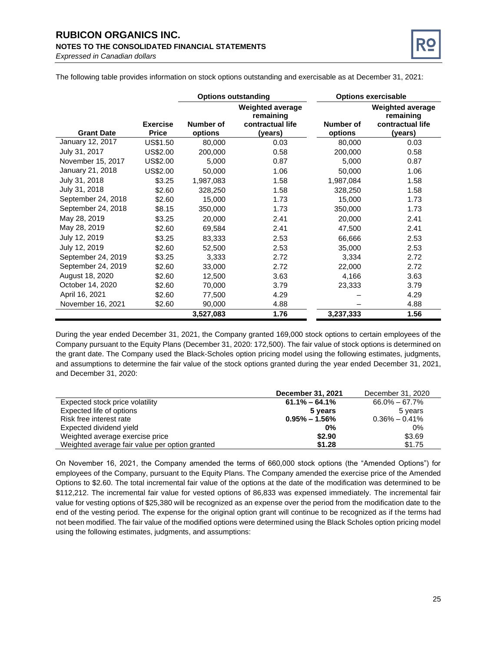# **RUBICON ORGANICS INC. NOTES TO THE CONSOLIDATED FINANCIAL STATEMENTS**



*Expressed in Canadian dollars*

The following table provides information on stock options outstanding and exercisable as at December 31, 2021:

|                    |                                 | <b>Options outstanding</b> |                                                                     |                      | <b>Options exercisable</b>                                   |
|--------------------|---------------------------------|----------------------------|---------------------------------------------------------------------|----------------------|--------------------------------------------------------------|
| <b>Grant Date</b>  | <b>Exercise</b><br><b>Price</b> | Number of<br>options       | <b>Weighted average</b><br>remaining<br>contractual life<br>(years) | Number of<br>options | Weighted average<br>remaining<br>contractual life<br>(years) |
| January 12, 2017   | US\$1.50                        | 80,000                     | 0.03                                                                | 80,000               | 0.03                                                         |
| July 31, 2017      | US\$2.00                        | 200,000                    | 0.58                                                                | 200,000              | 0.58                                                         |
| November 15, 2017  | US\$2.00                        | 5,000                      | 0.87                                                                | 5,000                | 0.87                                                         |
| January 21, 2018   | US\$2.00                        | 50,000                     | 1.06                                                                | 50,000               | 1.06                                                         |
| July 31, 2018      | \$3.25                          | 1,987,083                  | 1.58                                                                | 1,987,084            | 1.58                                                         |
| July 31, 2018      | \$2.60                          | 328,250                    | 1.58                                                                | 328,250              | 1.58                                                         |
| September 24, 2018 | \$2.60                          | 15,000                     | 1.73                                                                | 15,000               | 1.73                                                         |
| September 24, 2018 | \$8.15                          | 350,000                    | 1.73                                                                | 350,000              | 1.73                                                         |
| May 28, 2019       | \$3.25                          | 20,000                     | 2.41                                                                | 20,000               | 2.41                                                         |
| May 28, 2019       | \$2.60                          | 69,584                     | 2.41                                                                | 47,500               | 2.41                                                         |
| July 12, 2019      | \$3.25                          | 83,333                     | 2.53                                                                | 66,666               | 2.53                                                         |
| July 12, 2019      | \$2.60                          | 52,500                     | 2.53                                                                | 35,000               | 2.53                                                         |
| September 24, 2019 | \$3.25                          | 3,333                      | 2.72                                                                | 3,334                | 2.72                                                         |
| September 24, 2019 | \$2.60                          | 33,000                     | 2.72                                                                | 22,000               | 2.72                                                         |
| August 18, 2020    | \$2.60                          | 12,500                     | 3.63                                                                | 4,166                | 3.63                                                         |
| October 14, 2020   | \$2.60                          | 70,000                     | 3.79                                                                | 23,333               | 3.79                                                         |
| April 16, 2021     | \$2.60                          | 77,500                     | 4.29                                                                |                      | 4.29                                                         |
| November 16, 2021  | \$2.60                          | 90,000                     | 4.88                                                                |                      | 4.88                                                         |
|                    |                                 | 3,527,083                  | 1.76                                                                | 3,237,333            | 1.56                                                         |

During the year ended December 31, 2021, the Company granted 169,000 stock options to certain employees of the Company pursuant to the Equity Plans (December 31, 2020: 172,500). The fair value of stock options is determined on the grant date. The Company used the Black-Scholes option pricing model using the following estimates, judgments, and assumptions to determine the fair value of the stock options granted during the year ended December 31, 2021, and December 31, 2020:

|                                                | December 31, 2021 | December 31, 2020 |
|------------------------------------------------|-------------------|-------------------|
| Expected stock price volatility                | $61.1\% - 64.1\%$ | $66.0\% - 67.7\%$ |
| Expected life of options                       | 5 years           | 5 years           |
| Risk free interest rate                        | $0.95\% - 1.56\%$ | $0.36\% - 0.41\%$ |
| Expected dividend yield                        | $0\%$             | 0%                |
| Weighted average exercise price                | \$2.90            | \$3.69            |
| Weighted average fair value per option granted | \$1.28            | \$1.75            |

On November 16, 2021, the Company amended the terms of 660,000 stock options (the "Amended Options") for employees of the Company, pursuant to the Equity Plans. The Company amended the exercise price of the Amended Options to \$2.60. The total incremental fair value of the options at the date of the modification was determined to be \$112,212. The incremental fair value for vested options of 86,833 was expensed immediately. The incremental fair value for vesting options of \$25,380 will be recognized as an expense over the period from the modification date to the end of the vesting period. The expense for the original option grant will continue to be recognized as if the terms had not been modified. The fair value of the modified options were determined using the Black Scholes option pricing model using the following estimates, judgments, and assumptions: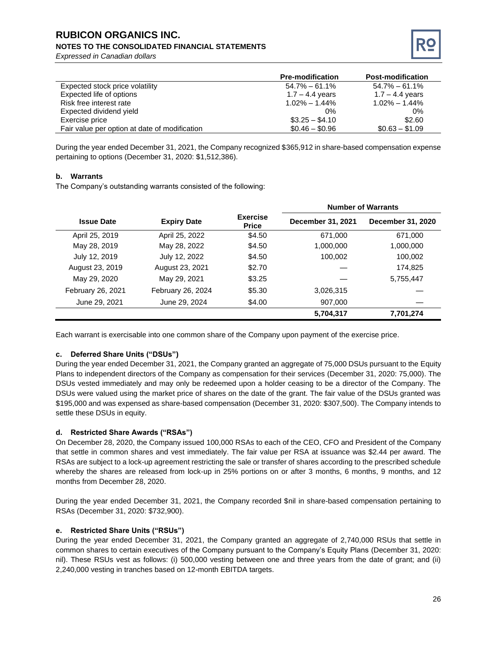# **RUBICON ORGANICS INC.**

#### **NOTES TO THE CONSOLIDATED FINANCIAL STATEMENTS**

*Expressed in Canadian dollars*



|                                               | <b>Pre-modification</b> | <b>Post-modification</b> |
|-----------------------------------------------|-------------------------|--------------------------|
| Expected stock price volatility               | $54.7\% - 61.1\%$       | $54.7\% - 61.1\%$        |
| Expected life of options                      | $1.7 - 4.4$ years       | $1.7 - 4.4$ years        |
| Risk free interest rate                       | $1.02\% - 1.44\%$       | $1.02\% - 1.44\%$        |
| Expected dividend yield                       | $0\%$                   | $0\%$                    |
| Exercise price                                | $$3.25 - $4.10$         | \$2.60                   |
| Fair value per option at date of modification | $$0.46 - $0.96$         | $$0.63 - $1.09$          |

During the year ended December 31, 2021, the Company recognized \$365,912 in share-based compensation expense pertaining to options (December 31, 2020: \$1,512,386).

#### **b. Warrants**

The Company's outstanding warrants consisted of the following:

|                   |                    |                                 | <b>Number of Warrants</b> |                   |  |
|-------------------|--------------------|---------------------------------|---------------------------|-------------------|--|
| <b>Issue Date</b> | <b>Expiry Date</b> | <b>Exercise</b><br><b>Price</b> | December 31, 2021         | December 31, 2020 |  |
| April 25, 2019    | April 25, 2022     | \$4.50                          | 671,000                   | 671,000           |  |
| May 28, 2019      | May 28, 2022       | \$4.50                          | 1,000,000                 | 1,000,000         |  |
| July 12, 2019     | July 12, 2022      | \$4.50                          | 100,002                   | 100,002           |  |
| August 23, 2019   | August 23, 2021    | \$2.70                          |                           | 174.825           |  |
| May 29, 2020      | May 29, 2021       | \$3.25                          |                           | 5,755,447         |  |
| February 26, 2021 | February 26, 2024  | \$5.30                          | 3,026,315                 |                   |  |
| June 29, 2021     | June 29, 2024      | \$4.00                          | 907,000                   |                   |  |
|                   |                    |                                 | 5,704,317                 | 7,701,274         |  |

Each warrant is exercisable into one common share of the Company upon payment of the exercise price.

#### **c. Deferred Share Units ("DSUs")**

During the year ended December 31, 2021, the Company granted an aggregate of 75,000 DSUs pursuant to the Equity Plans to independent directors of the Company as compensation for their services (December 31, 2020: 75,000). The DSUs vested immediately and may only be redeemed upon a holder ceasing to be a director of the Company. The DSUs were valued using the market price of shares on the date of the grant. The fair value of the DSUs granted was \$195,000 and was expensed as share-based compensation (December 31, 2020: \$307,500). The Company intends to settle these DSUs in equity.

#### **d. Restricted Share Awards ("RSAs")**

On December 28, 2020, the Company issued 100,000 RSAs to each of the CEO, CFO and President of the Company that settle in common shares and vest immediately. The fair value per RSA at issuance was \$2.44 per award. The RSAs are subject to a lock-up agreement restricting the sale or transfer of shares according to the prescribed schedule whereby the shares are released from lock-up in 25% portions on or after 3 months, 6 months, 9 months, and 12 months from December 28, 2020.

During the year ended December 31, 2021, the Company recorded \$nil in share-based compensation pertaining to RSAs (December 31, 2020: \$732,900).

#### **e. Restricted Share Units ("RSUs")**

During the year ended December 31, 2021, the Company granted an aggregate of 2,740,000 RSUs that settle in common shares to certain executives of the Company pursuant to the Company's Equity Plans (December 31, 2020: nil). These RSUs vest as follows: (i) 500,000 vesting between one and three years from the date of grant; and (ii) 2,240,000 vesting in tranches based on 12-month EBITDA targets.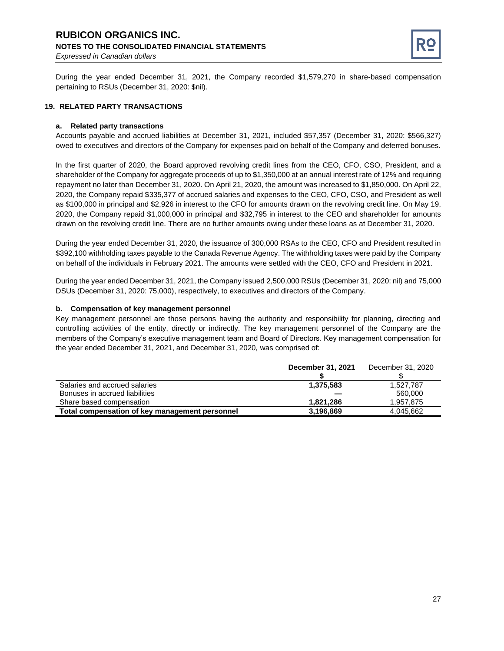#### **RUBICON ORGANICS INC. NOTES TO THE CONSOLIDATED FINANCIAL STATEMENTS** *Expressed in Canadian dollars*



During the year ended December 31, 2021, the Company recorded \$1,579,270 in share-based compensation pertaining to RSUs (December 31, 2020: \$nil).

#### **19. RELATED PARTY TRANSACTIONS**

#### **a. Related party transactions**

Accounts payable and accrued liabilities at December 31, 2021, included \$57,357 (December 31, 2020: \$566,327) owed to executives and directors of the Company for expenses paid on behalf of the Company and deferred bonuses.

In the first quarter of 2020, the Board approved revolving credit lines from the CEO, CFO, CSO, President, and a shareholder of the Company for aggregate proceeds of up to \$1,350,000 at an annual interest rate of 12% and requiring repayment no later than December 31, 2020. On April 21, 2020, the amount was increased to \$1,850,000. On April 22, 2020, the Company repaid \$335,377 of accrued salaries and expenses to the CEO, CFO, CSO, and President as well as \$100,000 in principal and \$2,926 in interest to the CFO for amounts drawn on the revolving credit line. On May 19, 2020, the Company repaid \$1,000,000 in principal and \$32,795 in interest to the CEO and shareholder for amounts drawn on the revolving credit line. There are no further amounts owing under these loans as at December 31, 2020.

During the year ended December 31, 2020, the issuance of 300,000 RSAs to the CEO, CFO and President resulted in \$392,100 withholding taxes payable to the Canada Revenue Agency. The withholding taxes were paid by the Company on behalf of the individuals in February 2021. The amounts were settled with the CEO, CFO and President in 2021.

During the year ended December 31, 2021, the Company issued 2,500,000 RSUs (December 31, 2020: nil) and 75,000 DSUs (December 31, 2020: 75,000), respectively, to executives and directors of the Company.

#### **b. Compensation of key management personnel**

Key management personnel are those persons having the authority and responsibility for planning, directing and controlling activities of the entity, directly or indirectly. The key management personnel of the Company are the members of the Company's executive management team and Board of Directors. Key management compensation for the year ended December 31, 2021, and December 31, 2020, was comprised of:

|                                                | December 31, 2021 | December 31, 2020 |
|------------------------------------------------|-------------------|-------------------|
| Salaries and accrued salaries                  | 1.375.583         | 1.527.787         |
| Bonuses in accrued liabilities                 |                   | 560,000           |
| Share based compensation                       | 1.821.286         | 1.957.875         |
| Total compensation of key management personnel | 3.196.869         | 4.045.662         |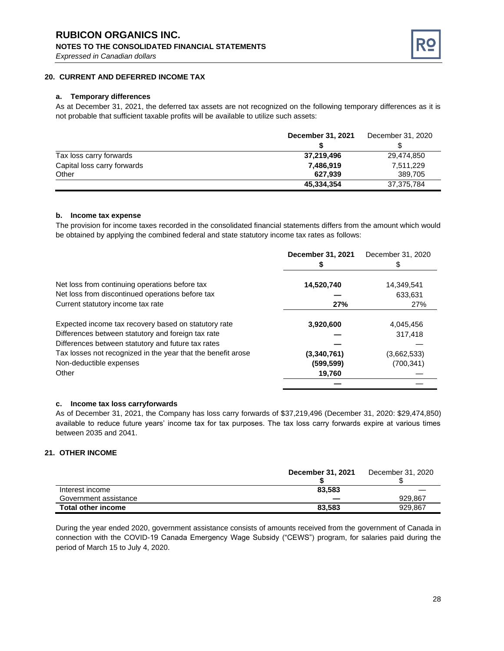

#### **20. CURRENT AND DEFERRED INCOME TAX**

#### **a. Temporary differences**

As at December 31, 2021, the deferred tax assets are not recognized on the following temporary differences as it is not probable that sufficient taxable profits will be available to utilize such assets:

|                             | December 31, 2021 | December 31, 2020 |
|-----------------------------|-------------------|-------------------|
|                             |                   |                   |
| Tax loss carry forwards     | 37,219,496        | 29.474.850        |
| Capital loss carry forwards | 7,486,919         | 7,511,229         |
| Other                       | 627.939           | 389.705           |
|                             | 45,334,354        | 37,375,784        |

#### **b. Income tax expense**

The provision for income taxes recorded in the consolidated financial statements differs from the amount which would be obtained by applying the combined federal and state statutory income tax rates as follows:

|                                                              | December 31, 2021 | December 31, 2020 |
|--------------------------------------------------------------|-------------------|-------------------|
| Net loss from continuing operations before tax               | 14,520,740        | 14,349,541        |
| Net loss from discontinued operations before tax             |                   | 633.631           |
| Current statutory income tax rate                            | 27%               | 27%               |
| Expected income tax recovery based on statutory rate         | 3,920,600         | 4,045,456         |
| Differences between statutory and foreign tax rate           |                   | 317,418           |
| Differences between statutory and future tax rates           |                   |                   |
| Tax losses not recognized in the year that the benefit arose | (3,340,761)       | (3,662,533)       |
| Non-deductible expenses                                      | (599, 599)        | (700, 341)        |
| Other                                                        | 19,760            |                   |
|                                                              |                   |                   |

#### **c. Income tax loss carryforwards**

As of December 31, 2021, the Company has loss carry forwards of \$37,219,496 (December 31, 2020: \$29,474,850) available to reduce future years' income tax for tax purposes. The tax loss carry forwards expire at various times between 2035 and 2041.

#### **21. OTHER INCOME**

|                           | <b>December 31, 2021</b> | December 31, 2020 |
|---------------------------|--------------------------|-------------------|
| Interest income           | 83.583                   |                   |
| Government assistance     |                          | 929.867           |
| <b>Total other income</b> | 83,583                   | 929.867           |

During the year ended 2020, government assistance consists of amounts received from the government of Canada in connection with the COVID-19 Canada Emergency Wage Subsidy ("CEWS") program, for salaries paid during the period of March 15 to July 4, 2020.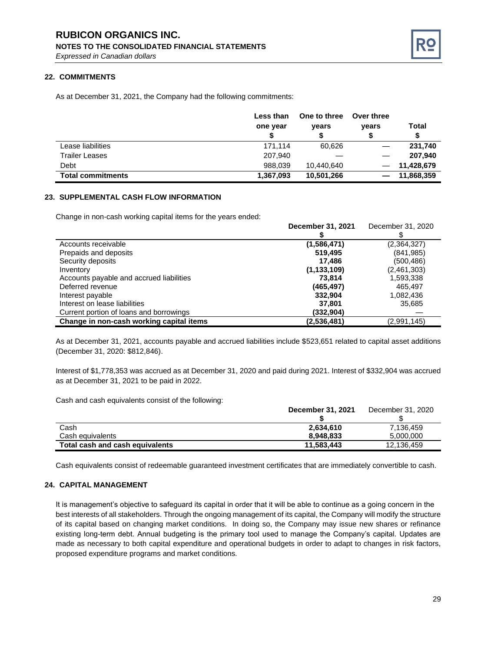# **RUBICON ORGANICS INC.**

**NOTES TO THE CONSOLIDATED FINANCIAL STATEMENTS**

*Expressed in Canadian dollars*

#### **22. COMMITMENTS**

As at December 31, 2021, the Company had the following commitments:

|                          | Less than | One to three | Over three |            |
|--------------------------|-----------|--------------|------------|------------|
|                          | one year  | vears        | years      | Total      |
|                          |           |              |            | S          |
| Lease liabilities        | 171.114   | 60,626       |            | 231,740    |
| <b>Trailer Leases</b>    | 207,940   |              |            | 207.940    |
| Debt                     | 988.039   | 10.440.640   |            | 11,428,679 |
| <b>Total commitments</b> | 1,367,093 | 10,501,266   |            | 11,868,359 |

#### **23. SUPPLEMENTAL CASH FLOW INFORMATION**

Change in non-cash working capital items for the years ended:

|                                          | December 31, 2021 | December 31, 2020 |
|------------------------------------------|-------------------|-------------------|
|                                          |                   |                   |
| Accounts receivable                      | (1,586,471)       | (2,364,327)       |
| Prepaids and deposits                    | 519,495           | (841, 985)        |
| Security deposits                        | 17.486            | (500, 486)        |
| Inventory                                | (1, 133, 109)     | (2,461,303)       |
| Accounts payable and accrued liabilities | 73.814            | 1,593,338         |
| Deferred revenue                         | (465, 497)        | 465.497           |
| Interest payable                         | 332.904           | 1,082,436         |
| Interest on lease liabilities            | 37.801            | 35,685            |
| Current portion of loans and borrowings  | (332,904)         |                   |
| Change in non-cash working capital items | (2,536,481)       | (2,991,145)       |

As at December 31, 2021, accounts payable and accrued liabilities include \$523,651 related to capital asset additions (December 31, 2020: \$812,846).

Interest of \$1,778,353 was accrued as at December 31, 2020 and paid during 2021. Interest of \$332,904 was accrued as at December 31, 2021 to be paid in 2022.

Cash and cash equivalents consist of the following:

|                                 | <b>December 31, 2021</b> | December 31, 2020 |
|---------------------------------|--------------------------|-------------------|
|                                 |                          |                   |
| Cash                            | 2,634,610                | 7.136.459         |
| Cash equivalents                | 8.948.833                | 5.000.000         |
| Total cash and cash equivalents | 11.583.443               | 12.136.459        |

Cash equivalents consist of redeemable guaranteed investment certificates that are immediately convertible to cash.

#### **24. CAPITAL MANAGEMENT**

It is management's objective to safeguard its capital in order that it will be able to continue as a going concern in the best interests of all stakeholders. Through the ongoing management of its capital, the Company will modify the structure of its capital based on changing market conditions. In doing so, the Company may issue new shares or refinance existing long-term debt. Annual budgeting is the primary tool used to manage the Company's capital. Updates are made as necessary to both capital expenditure and operational budgets in order to adapt to changes in risk factors, proposed expenditure programs and market conditions.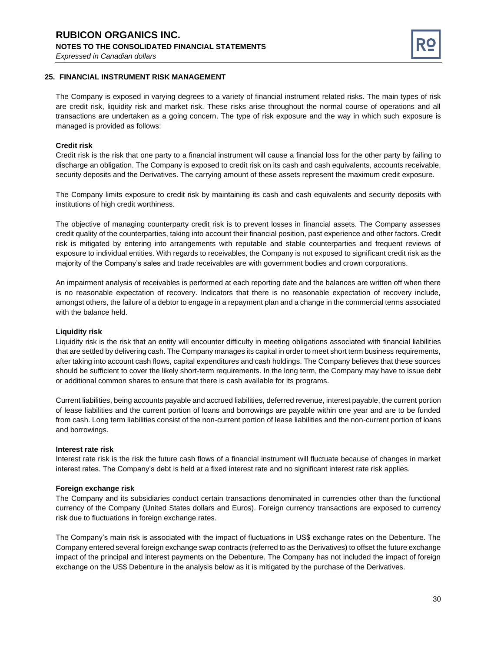#### **RUBICON ORGANICS INC. NOTES TO THE CONSOLIDATED FINANCIAL STATEMENTS** *Expressed in Canadian dollars*



#### **25. FINANCIAL INSTRUMENT RISK MANAGEMENT**

The Company is exposed in varying degrees to a variety of financial instrument related risks. The main types of risk are credit risk, liquidity risk and market risk. These risks arise throughout the normal course of operations and all transactions are undertaken as a going concern. The type of risk exposure and the way in which such exposure is managed is provided as follows:

#### **Credit risk**

Credit risk is the risk that one party to a financial instrument will cause a financial loss for the other party by failing to discharge an obligation. The Company is exposed to credit risk on its cash and cash equivalents, accounts receivable, security deposits and the Derivatives. The carrying amount of these assets represent the maximum credit exposure.

The Company limits exposure to credit risk by maintaining its cash and cash equivalents and security deposits with institutions of high credit worthiness.

The objective of managing counterparty credit risk is to prevent losses in financial assets. The Company assesses credit quality of the counterparties, taking into account their financial position, past experience and other factors. Credit risk is mitigated by entering into arrangements with reputable and stable counterparties and frequent reviews of exposure to individual entities. With regards to receivables, the Company is not exposed to significant credit risk as the majority of the Company's sales and trade receivables are with government bodies and crown corporations.

An impairment analysis of receivables is performed at each reporting date and the balances are written off when there is no reasonable expectation of recovery. Indicators that there is no reasonable expectation of recovery include, amongst others, the failure of a debtor to engage in a repayment plan and a change in the commercial terms associated with the balance held.

#### **Liquidity risk**

Liquidity risk is the risk that an entity will encounter difficulty in meeting obligations associated with financial liabilities that are settled by delivering cash. The Company manages its capital in order to meet short term business requirements, after taking into account cash flows, capital expenditures and cash holdings. The Company believes that these sources should be sufficient to cover the likely short-term requirements. In the long term, the Company may have to issue debt or additional common shares to ensure that there is cash available for its programs.

Current liabilities, being accounts payable and accrued liabilities, deferred revenue, interest payable, the current portion of lease liabilities and the current portion of loans and borrowings are payable within one year and are to be funded from cash. Long term liabilities consist of the non-current portion of lease liabilities and the non-current portion of loans and borrowings.

#### **Interest rate risk**

Interest rate risk is the risk the future cash flows of a financial instrument will fluctuate because of changes in market interest rates. The Company's debt is held at a fixed interest rate and no significant interest rate risk applies.

#### **Foreign exchange risk**

The Company and its subsidiaries conduct certain transactions denominated in currencies other than the functional currency of the Company (United States dollars and Euros). Foreign currency transactions are exposed to currency risk due to fluctuations in foreign exchange rates.

The Company's main risk is associated with the impact of fluctuations in US\$ exchange rates on the Debenture. The Company entered several foreign exchange swap contracts (referred to as the Derivatives) to offset the future exchange impact of the principal and interest payments on the Debenture. The Company has not included the impact of foreign exchange on the US\$ Debenture in the analysis below as it is mitigated by the purchase of the Derivatives.